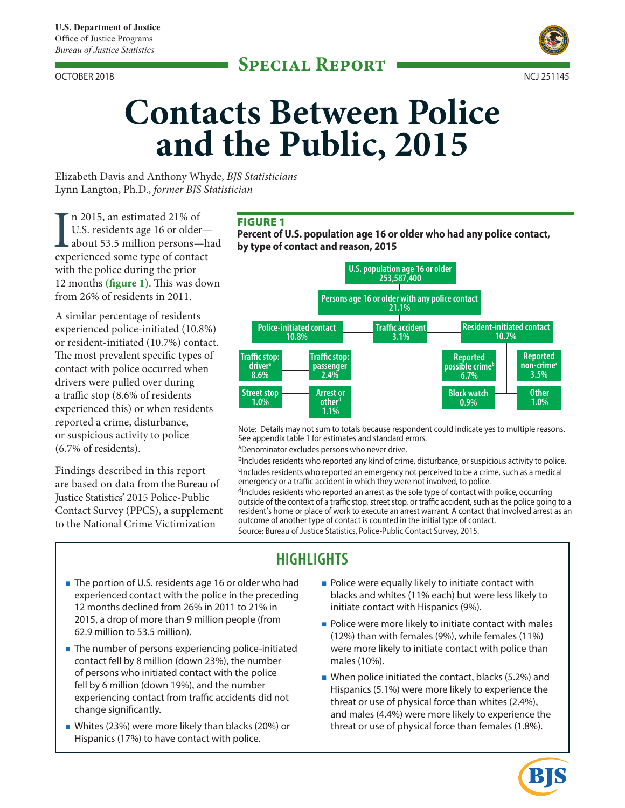OCTOBER 2018 NCJ 251145



# **Contacts Between Police and the Public, 2015**

Elizabeth Davis and Anthony Whyde, *BJS Statisticians*  Lynn Langton, Ph.D., *former BJS Statistician* 

In 2015, an estimated 21% of<br>U.S. residents age 16 or older—<br>about 53.5 million persons—h<br>experienced some type of contact n 2015, an estimated 21% of U.S. residents age 16 or older about 53.5 million persons—had with the police during the prior 12 months (figure 1). This was down from 26% of residents in 2011.

A similar percentage of residents experienced police-initiated (10.8%) or resident-initiated (10.7%) contact. The most prevalent specific types of contact with police occurred when drivers were pulled over during a traffic stop  $(8.6\% \text{ of residents})$ experienced this) or when residents reported a crime, disturbance, or suspicious activity to police (6.7% of residents).

Findings described in this report are based on data from the Bureau of Justice Statistics' 2015 Police-Public Contact Survey (PPCS), a supplement to the National Crime Victimization

### FIGURE 1

**Percent of U.S. population age 16 or older who had any police contact, by type of contact and reason, 2015** 



Note: Details may not sum to totals because respondent could indicate yes to multiple reasons. See appendix table 1 for estimates and standard errors.

aDenominator excludes persons who never drive.

bIncludes residents who reported any kind of crime, disturbance, or suspicious activity to police. <sup>c</sup>Includes residents who reported an emergency not perceived to be a crime, such as a medical emergency or a traffic accident in which they were not involved, to police.

dIncludes residents who reported an arrest as the sole type of contact with police, occurring outside of the context of a traffic stop, street stop, or traffic accident, such as the police going to a resident's home or place of work to execute an arrest warrant. A contact that involved arrest as an outcome of another type of contact is counted in the initial type of contact. Source: Bureau of Justice Statistics, Police-Public Contact Survey, 2015.

# **HIGHLIGHTS**

- The portion of U.S. residents age 16 or older who had Police were equally likely to initiate contact with 12 months declined from 26% in 2011 to 21% in initiate contact with Hispanics (9%). 2015, a drop of more than 9 million people (from **Police were more likely to initiate contact with males** 62.9 million to 53.5 million).
- **The number of persons experiencing police-initiated** were more likely to initiate contact with police than contact fell by 8 million (down 23%), the number males (10%).
- **Nhites (23%)** were more likely than blacks (20%) or threat or use of physical force than females (1.8%). Hispanics (17%) to have contact with police.
- experienced contact with the police in the preceding blacks and whites (11% each) but were less likely to
	-
- of persons who initiated contact with the police<br>fell by 6 million (down 19%), and the number<br>experiencing contact from traffic accidents did not<br>change significantly.<br>and males (4.4%) were more likely to experience the<br>an

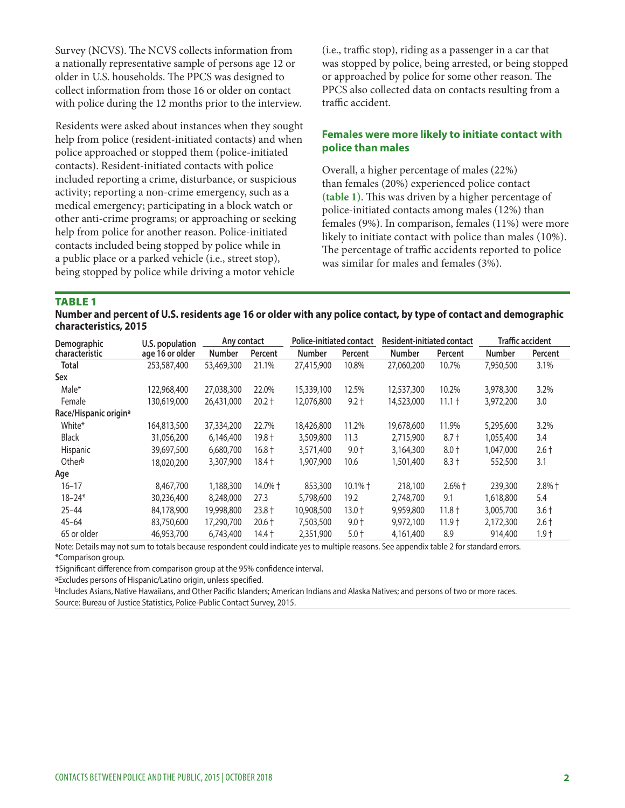Survey (NCVS). The NCVS collects information from a nationally representative sample of persons age 12 or older in U.S. households. The PPCS was designed to collect information from those 16 or older on contact with police during the 12 months prior to the interview.

Residents were asked about instances when they sought help from police (resident-initiated contacts) and when police approached or stopped them (police-initiated contacts). Resident-initiated contacts with police included reporting a crime, disturbance, or suspicious activity; reporting a non-crime emergency, such as a medical emergency; participating in a block watch or other anti-crime programs; or approaching or seeking help from police for another reason. Police-initiated contacts included being stopped by police while in a public place or a parked vehicle (i.e., street stop), being stopped by police while driving a motor vehicle

 $(i.e., traffic stop), riding as a passenger in a car that$ was stopped by police, being arrested, or being stopped or approached by police for some other reason. The PPCS also collected data on contacts resulting from a traffic accident.

#### **Females were more likely to initiate contact with police than males**

 likely to initiate contact with police than males (10%). The percentage of traffic accidents reported to police Overall, a higher percentage of males (22%) than females (20%) experienced police contact (table 1). This was driven by a higher percentage of police-initiated contacts among males (12%) than females (9%). In comparison, females (11%) were more was similar for males and females (3%).

TABLE 1

**Number and percent of U.S. residents age 16 or older with any police contact, by type of contact and demographic characteristics, 2015** 

| Police-initiated contact<br>Any contact<br>U.S. population<br>Demographic |                 |            | <b>Resident-initiated contact</b> |               | <b>Traffic accident</b> |               |          |               |          |
|---------------------------------------------------------------------------|-----------------|------------|-----------------------------------|---------------|-------------------------|---------------|----------|---------------|----------|
| characteristic                                                            | age 16 or older | Number     | Percent                           | <b>Number</b> | Percent                 | <b>Number</b> | Percent  | <b>Number</b> | Percent  |
| <b>Total</b>                                                              | 253,587,400     | 53,469,300 | 21.1%                             | 27,415,900    | 10.8%                   | 27,060,200    | 10.7%    | 7,950,500     | 3.1%     |
| Sex                                                                       |                 |            |                                   |               |                         |               |          |               |          |
| Male*                                                                     | 122,968,400     | 27,038,300 | 22.0%                             | 15,339,100    | 12.5%                   | 12,537,300    | 10.2%    | 3,978,300     | 3.2%     |
| Female                                                                    | 130,619,000     | 26,431,000 | $20.2 +$                          | 12,076,800    | $9.2 +$                 | 14,523,000    | $11.1 +$ | 3,972,200     | 3.0      |
| Race/Hispanic origin <sup>a</sup>                                         |                 |            |                                   |               |                         |               |          |               |          |
| White*                                                                    | 164,813,500     | 37,334,200 | 22.7%                             | 18,426,800    | 11.2%                   | 19,678,600    | 11.9%    | 5,295,600     | 3.2%     |
| <b>Black</b>                                                              | 31,056,200      | 6,146,400  | $19.8 +$                          | 3,509,800     | 11.3                    | 2,715,900     | $8.7 +$  | 1,055,400     | 3.4      |
| Hispanic                                                                  | 39,697,500      | 6,680,700  | $16.8 +$                          | 3,571,400     | $9.0 +$                 | 3,164,300     | $8.0 +$  | 1,047,000     | $2.6 +$  |
| Otherb                                                                    | 18,020,200      | 3,307,900  | $18.4 +$                          | 1,907,900     | 10.6                    | 1,501,400     | $8.3 +$  | 552,500       | 3.1      |
| Age                                                                       |                 |            |                                   |               |                         |               |          |               |          |
| $16 - 17$                                                                 | 8,467,700       | 1,188,300  | 14.0% +                           | 853,300       | $10.1\% +$              | 218,100       | $2.6%$ † | 239,300       | $2.8%$ † |
| $18 - 24*$                                                                | 30,236,400      | 8,248,000  | 27.3                              | 5,798,600     | 19.2                    | 2,748,700     | 9.1      | 1,618,800     | 5.4      |
| $25 - 44$                                                                 | 84,178,900      | 19,998,800 | $23.8 +$                          | 10,908,500    | $13.0 +$                | 9,959,800     | $11.8 +$ | 3,005,700     | $3.6 +$  |
| $45 - 64$                                                                 | 83,750,600      | 17,290,700 | $20.6 +$                          | 7,503,500     | $9.0 +$                 | 9,972,100     | $11.9 +$ | 2,172,300     | $2.6 +$  |
| 65 or older                                                               | 46,953,700      | 6,743,400  | 14.4 †                            | 2,351,900     | $5.0 +$                 | 4,161,400     | 8.9      | 914,400       | $1.9 +$  |

Note: Details may not sum to totals because respondent could indicate yes to multiple reasons. See appendix table 2 for standard errors. \*Comparison group.

†Signifcant diference from comparison group at the 95% confdence interval.

aExcludes persons of Hispanic/Latino origin, unless specifed.

bIncludes Asians, Native Hawaiians, and Other Pacific Islanders; American Indians and Alaska Natives; and persons of two or more races. Source: Bureau of Justice Statistics, Police-Public Contact Survey, 2015.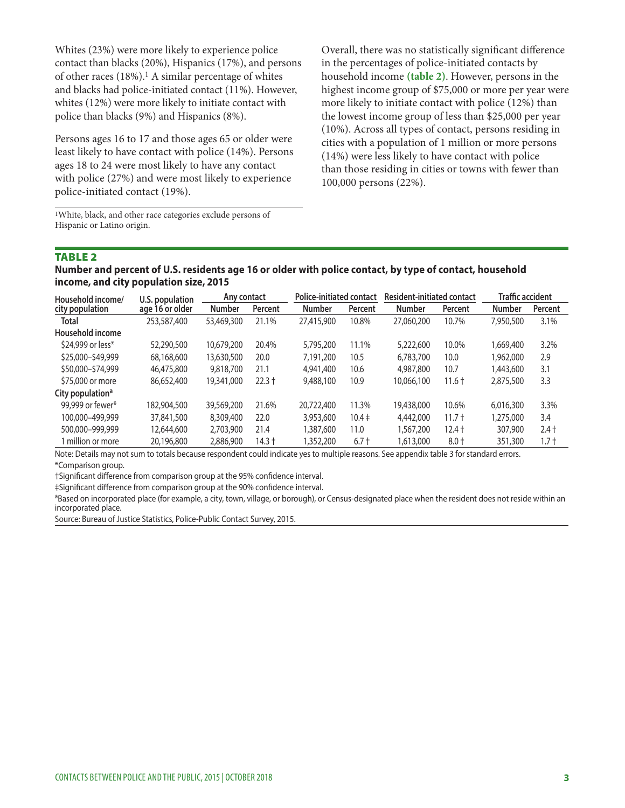contact than blacks (20%), Hispanics (17%), and persons in the percentages of police-initiated contacts by of other races (18%).1 A similar percentage of whites and blacks had police-initiated contact (11%). However, whites (12%) were more likely to initiate contact with police than blacks (9%) and Hispanics (8%).

Persons ages 16 to 17 and those ages 65 or older were least likely to have contact with police (14%). Persons ages 18 to 24 were most likely to have any contact with police (27%) and were most likely to experience police-initiated contact (19%).

1White, black, and other race categories exclude persons of Hispanic or Latino origin.

Whites (23%) were more likely to experience police Overall, there was no statistically significant difference household income **(table 2)**. However, persons in the highest income group of \$75,000 or more per year were more likely to initiate contact with police (12%) than the lowest income group of less than \$25,000 per year (10%). Across all types of contact, persons residing in cities with a population of 1 million or more persons (14%) were less likely to have contact with police than those residing in cities or towns with fewer than 100,000 persons (22%).

#### TABLE 2

**Number and percent of U.S. residents age 16 or older with police contact, by type of contact, household income, and city population size, 2015** 

| Household income/            | U.S. population | Any contact   |          | <b>Police-initiated contact</b> |            | Resident-initiated contact |          | <b>Traffic accident</b> |         |
|------------------------------|-----------------|---------------|----------|---------------------------------|------------|----------------------------|----------|-------------------------|---------|
| city population              | age 16 or older | <b>Number</b> | Percent  | <b>Number</b>                   | Percent    | <b>Number</b>              | Percent  | Number                  | Percent |
| Total                        | 253,587,400     | 53,469,300    | 21.1%    | 27,415,900                      | 10.8%      | 27,060,200                 | 10.7%    | 7,950,500               | 3.1%    |
| Household income             |                 |               |          |                                 |            |                            |          |                         |         |
| \$24,999 or less*            | 52,290,500      | 10,679,200    | 20.4%    | 5,795,200                       | 11.1%      | 5,222,600                  | 10.0%    | 1,669,400               | 3.2%    |
| \$25,000-\$49,999            | 68,168,600      | 13,630,500    | 20.0     | 7.191.200                       | 10.5       | 6,783,700                  | 10.0     | 1,962,000               | 2.9     |
| \$50,000-\$74,999            | 46,475,800      | 9,818,700     | 21.1     | 4,941,400                       | 10.6       | 4,987,800                  | 10.7     | 1,443,600               | 3.1     |
| \$75,000 or more             | 86,652,400      | 19,341,000    | $22.3 +$ | 9,488,100                       | 10.9       | 10,066,100                 | $11.6 +$ | 2,875,500               | 3.3     |
| City population <sup>a</sup> |                 |               |          |                                 |            |                            |          |                         |         |
| 99,999 or fewer*             | 182,904,500     | 39,569,200    | 21.6%    | 20,722,400                      | 11.3%      | 19,438,000                 | 10.6%    | 6.016.300               | 3.3%    |
| 100,000-499,999              | 37,841,500      | 8,309,400     | 22.0     | 3,953,600                       | $10.4 \pm$ | 4,442,000                  | $11.7 +$ | 1,275,000               | 3.4     |
| 500,000-999,999              | 12,644,600      | 2,703,900     | 21.4     | .387,600                        | 11.0       | 1,567,200                  | $12.4 +$ | 307,900                 | $2.4 +$ |
| million or more              | 20,196,800      | 2,886,900     | $14.3 +$ | ,352,200                        | $6.7 +$    | 1,613,000                  | $8.0 +$  | 351,300                 | 1.7 †   |

Note: Details may not sum to totals because respondent could indicate yes to multiple reasons. See appendix table 3 for standard errors. \*Comparison group.

†Signifcant diference from comparison group at the 95% confdence interval.

‡Significant difference from comparison group at the 90% confidence interval.<br><sup>a</sup>Based on incorporated place (for example, a city, town, village, or borough), or Census-designated place when the resident does not reside wi incorporated place.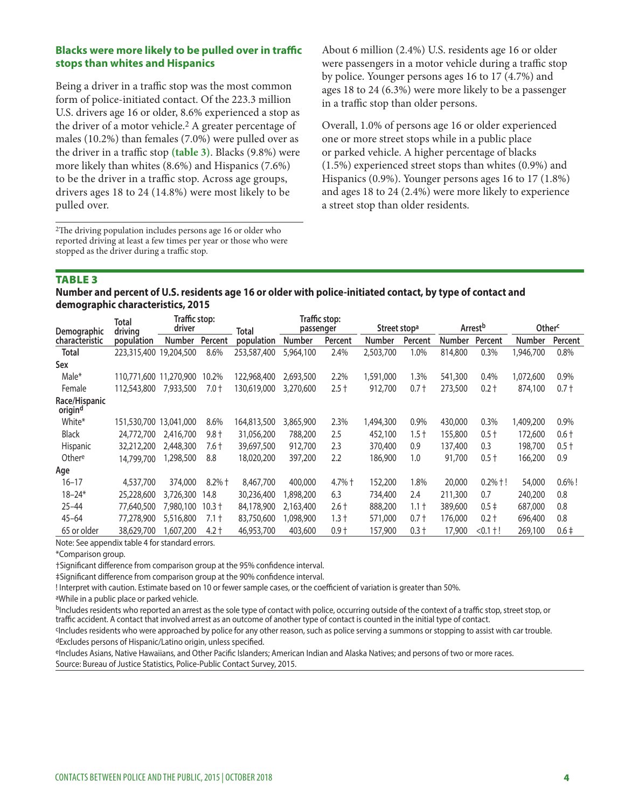#### **Blacks were more likely to be pulled over in traffic stops than whites and Hispanics**

Being a driver in a traffic stop was the most common form of police-initiated contact. Of the 223.3 million U.S. drivers age 16 or older, 8.6% experienced a stop as the driver of a motor vehicle.2 A greater percentage of males (10.2%) than females (7.0%) were pulled over as the driver in a traffic stop (table 3). Blacks (9.8%) were more likely than whites (8.6%) and Hispanics (7.6%) to be the driver in a traffic stop. Across age groups, drivers ages 18 to 24 (14.8%) were most likely to be pulled over.

<sup>2</sup>The driving population includes persons age 16 or older who reported driving at least a few times per year or those who were stopped as the driver during a traffic stop.

About 6 million (2.4%) U.S. residents age 16 or older were passengers in a motor vehicle during a traffic stop by police. Younger persons ages 16 to 17 (4.7%) and ages 18 to 24 (6.3%) were more likely to be a passenger in a traffic stop than older persons.

Overall, 1.0% of persons age 16 or older experienced one or more street stops while in a public place or parked vehicle. A higher percentage of blacks (1.5%) experienced street stops than whites (0.9%) and Hispanics (0.9%). Younger persons ages 16 to 17 (1.8%) and ages 18 to 24 (2.4%) were more likely to experience a street stop than older residents.

#### TABLE 3

**Number and percent of U.S. residents age 16 or older with police-initiated contact, by type of contact and demographic characteristics, 2015** 

|                                      | Total                  | Traffic stop: |          |             |               | <b>Traffic stop:</b> |                          |         |               |                                           |               |           |
|--------------------------------------|------------------------|---------------|----------|-------------|---------------|----------------------|--------------------------|---------|---------------|-------------------------------------------|---------------|-----------|
| Demographic                          | driving                | driver        |          | Total       | passenger     |                      | Street stop <sup>a</sup> |         |               | Arrest <sup>b</sup><br>Other <sup>c</sup> |               |           |
| characteristic                       | population             | <b>Number</b> | Percent  | population  | <b>Number</b> | Percent              | Number                   | Percent | <b>Number</b> | Percent                                   | <b>Number</b> | Percent   |
| <b>Total</b>                         | 223,315,400            | 19,204,500    | 8.6%     | 253,587,400 | 5,964,100     | 2.4%                 | 2,503,700                | 1.0%    | 814,800       | 0.3%                                      | 1,946,700     | 0.8%      |
| Sex                                  |                        |               |          |             |               |                      |                          |         |               |                                           |               |           |
| Male*                                | 110,771,600 11,270,900 |               | 10.2%    | 122,968,400 | 2,693,500     | 2.2%                 | ,591,000                 | 1.3%    | 541,300       | 0.4%                                      | 1,072,600     | 0.9%      |
| Female                               | 112,543,800            | 7,933,500     | $7.0 +$  | 130,619,000 | 3,270,600     | $2.5+$               | 912,700                  | $0.7 +$ | 273,500       | $0.2 +$                                   | 874,100       | $0.7 +$   |
| Race/Hispanic<br>origin <sup>d</sup> |                        |               |          |             |               |                      |                          |         |               |                                           |               |           |
| White*                               | 151,530,700            | 13,041,000    | 8.6%     | 164,813,500 | 3,865,900     | 2.3%                 | ,494,300                 | 0.9%    | 430,000       | 0.3%                                      | 1,409,200     | 0.9%      |
| <b>Black</b>                         | 24,772,700             | 2,416,700     | $9.8 +$  | 31,056,200  | 788,200       | 2.5                  | 452,100                  | $1.5 +$ | 155,800       | $0.5 +$                                   | 172,600       | $0.6 +$   |
| Hispanic                             | 32,212,200             | 2,448,300     | 7.6 †    | 39,697,500  | 912,700       | 2.3                  | 370,400                  | 0.9     | 137,400       | 0.3                                       | 198,700       | $0.5 +$   |
| Othere                               | 14,799,700             | 1,298,500     | 8.8      | 18,020,200  | 397,200       | 2.2                  | 186,900                  | 1.0     | 91,700        | $0.5 +$                                   | 166,200       | 0.9       |
| Age                                  |                        |               |          |             |               |                      |                          |         |               |                                           |               |           |
| $16 - 17$                            | 4,537,700              | 374,000       | $8.2%$ † | 8,467,700   | 400,000       | $4.7%$ $\dagger$     | 152,200                  | 1.8%    | 20,000        | $0.2%$ †!                                 | 54,000        | $0.6\%$ ! |
| $18 - 24*$                           | 25,228,600             | 3,726,300     | 14.8     | 30,236,400  | 898,200       | 6.3                  | 734,400                  | 2.4     | 211,300       | 0.7                                       | 240,200       | 0.8       |
| $25 - 44$                            | 77,640,500             | 7,980,100     | $10.3 +$ | 84,178,900  | 2,163,400     | $2.6+$               | 888,200                  | $1.1 +$ | 389,600       | $0.5+$                                    | 687,000       | 0.8       |
| $45 - 64$                            | 77,278,900             | 5,516,800     | $7.1 +$  | 83,750,600  | 098,900       | $1.3 +$              | 571,000                  | $0.7 +$ | 176,000       | $0.2 +$                                   | 696,400       | 0.8       |
| 65 or older                          | 38,629,700             | .607.200      | $4.2 +$  | 46,953,700  | 403,600       | $0.9 +$              | 157,900                  | $0.3 +$ | 17,900        | $< 0.1 + 1$                               | 269,100       | $0.6 \pm$ |

Note: See appendix table 4 for standard errors.

\*Comparison group.

†Signifcant diference from comparison group at the 95% confdence interval.

‡Signifcant diference from comparison group at the 90% confdence interval.

! Interpret with caution. Estimate based on 10 or fewer sample cases, or the coefficient of variation is greater than 50%.

aWhile in a public place or parked vehicle.

<sup>b</sup>Includes residents who reported an arrest as the sole type of contact with police, occurring outside of the context of a traffic stop, street stop, or traffic accident. A contact that involved arrest as an outcome of another type of contact is counted in the initial type of contact.

cIncludes residents who were approached by police for any other reason, such as police serving a summons or stopping to assist with car trouble. dExcludes persons of Hispanic/Latino origin, unless specifed.

eIncludes Asians, Native Hawaiians, and Other Pacific Islanders; American Indian and Alaska Natives; and persons of two or more races. Source: Bureau of Justice Statistics, Police-Public Contact Survey, 2015.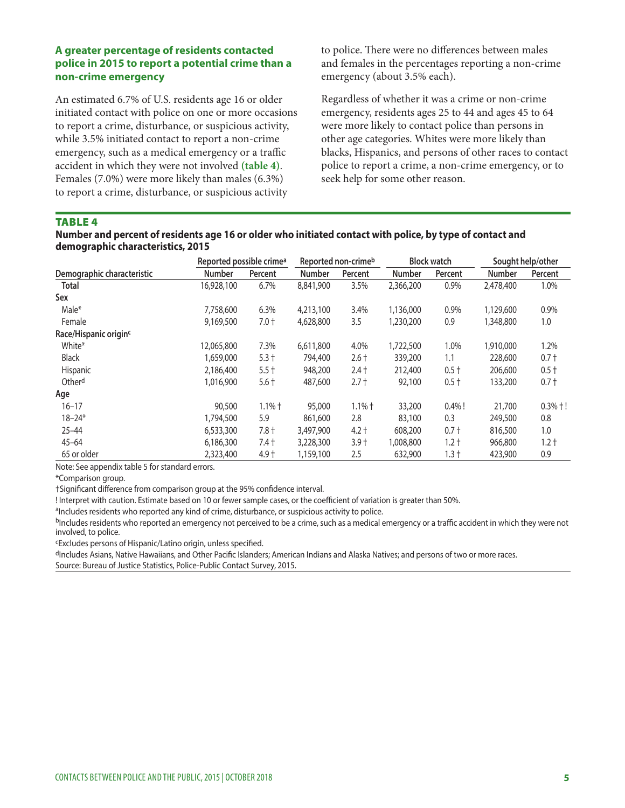#### **A greater percentage of residents contacted police in 2015 to report a potential crime than a non-crime emergency**

An estimated 6.7% of U.S. residents age 16 or older initiated contact with police on one or more occasions to report a crime, disturbance, or suspicious activity, while 3.5% initiated contact to report a non-crime emergency, such as a medical emergency or a traffic accident in which they were not involved **(table 4)**. Females (7.0%) were more likely than males (6.3%) to report a crime, disturbance, or suspicious activity

to police. There were no differences between males and females in the percentages reporting a non-crime emergency (about 3.5% each).

Regardless of whether it was a crime or non-crime emergency, residents ages 25 to 44 and ages 45 to 64 were more likely to contact police than persons in other age categories. Whites were more likely than blacks, Hispanics, and persons of other races to contact police to report a crime, a non-crime emergency, or to seek help for some other reason.

#### **TARIFA**

#### **Number and percent of residents age 16 or older who initiated contact with police, by type of contact and demographic characteristics, 2015**

|                            | Reported possible crime <sup>a</sup> |                  | Reported non-crimeb |          | <b>Block watch</b> |           | Sought help/other |           |
|----------------------------|--------------------------------------|------------------|---------------------|----------|--------------------|-----------|-------------------|-----------|
| Demographic characteristic | <b>Number</b>                        | Percent          | <b>Number</b>       | Percent  | <b>Number</b>      | Percent   | <b>Number</b>     | Percent   |
| <b>Total</b>               | 16,928,100                           | 6.7%             | 8,841,900           | 3.5%     | 2,366,200          | 0.9%      | 2,478,400         | 1.0%      |
| Sex                        |                                      |                  |                     |          |                    |           |                   |           |
| Male*                      | 7,758,600                            | 6.3%             | 4,213,100           | 3.4%     | 1,136,000          | 0.9%      | 1,129,600         | 0.9%      |
| Female                     | 9,169,500                            | $7.0 +$          | 4,628,800           | 3.5      | 1,230,200          | 0.9       | 1,348,800         | 1.0       |
| Race/Hispanic originc      |                                      |                  |                     |          |                    |           |                   |           |
| White*                     | 12,065,800                           | 7.3%             | 6,611,800           | 4.0%     | 1,722,500          | 1.0%      | 1,910,000         | 1.2%      |
| <b>Black</b>               | 1,659,000                            | $5.3 +$          | 794,400             | $2.6 +$  | 339,200            | 1.1       | 228,600           | $0.7 +$   |
| Hispanic                   | 2,186,400                            | $5.5 +$          | 948,200             | $2.4 +$  | 212,400            | $0.5 +$   | 206,600           | $0.5 +$   |
| Otherd                     | 1,016,900                            | $5.6 +$          | 487,600             | $2.7 +$  | 92,100             | $0.5 +$   | 133,200           | $0.7 +$   |
| Age                        |                                      |                  |                     |          |                    |           |                   |           |
| $16 - 17$                  | 90,500                               | $1.1%$ $\dagger$ | 95,000              | $1.1%$ † | 33,200             | $0.4\%$ ! | 21,700            | $0.3%$ +! |
| $18 - 24*$                 | 1,794,500                            | 5.9              | 861,600             | 2.8      | 83,100             | 0.3       | 249,500           | 0.8       |
| $25 - 44$                  | 6,533,300                            | $7.8 +$          | 3,497,900           | $4.2 +$  | 608,200            | $0.7 +$   | 816,500           | 1.0       |
| $45 - 64$                  | 6,186,300                            | $7.4 +$          | 3,228,300           | $3.9 +$  | 1,008,800          | $1.2 +$   | 966,800           | $1.2 +$   |
| 65 or older                | 2,323,400                            | $4.9+$           | 1,159,100           | 2.5      | 632,900            | $1.3 +$   | 423,900           | 0.9       |

Note: See appendix table 5 for standard errors.

\*Comparison group.

†Signifcant diference from comparison group at the 95% confdence interval.

! Interpret with caution. Estimate based on 10 or fewer sample cases, or the coefficient of variation is greater than 50%.

<sup>a</sup>Includes residents who reported any kind of crime, disturbance, or suspicious activity to police.

bIncludes residents who reported an emergency not perceived to be a crime, such as a medical emergency or a traffic accident in which they were not involved, to police.

cExcludes persons of Hispanic/Latino origin, unless specifed.

dIncludes Asians, Native Hawaiians, and Other Pacific Islanders; American Indians and Alaska Natives; and persons of two or more races. Source: Bureau of Justice Statistics, Police-Public Contact Survey, 2015.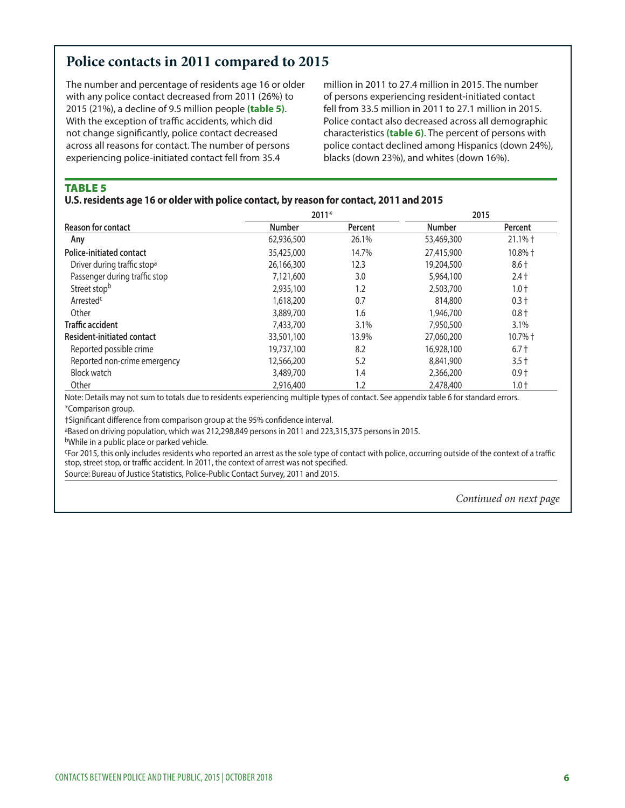# **Police contacts in 2011 compared to 2015**

The number and percentage of residents age 16 or older million in 2011 to 27.4 million in 2015. The number with any police contact decreased from 2011 (26%) to of persons experiencing resident-initiated contact 2015 (21%), a decline of 9.5 million people **(table 5)**. fell from 33.5 million in 2011 to 27.1 million in 2015. With the exception of traffic accidents, which did Police contact also decreased across all demographic not change signifcantly, police contact decreased characteristics **(table 6)**. The percent of persons with across all reasons for contact. The number of persons police contact declined among Hispanics (down 24%), experiencing police-initiated contact fell from 35.4 blacks (down 23%), and whites (down 16%).

TABLE 5

#### **U.S. residents age 16 or older with police contact, by reason for contact, 2011 and 2015**

|                                         | 2011*         |         | 2015          |           |  |
|-----------------------------------------|---------------|---------|---------------|-----------|--|
| <b>Reason for contact</b>               | <b>Number</b> | Percent | <b>Number</b> | Percent   |  |
| Any                                     | 62,936,500    | 26.1%   | 53,469,300    | $21.1%$ † |  |
| <b>Police-initiated contact</b>         | 35,425,000    | 14.7%   | 27,415,900    | 10.8% +   |  |
| Driver during traffic stop <sup>a</sup> | 26,166,300    | 12.3    | 19,204,500    | $8.6 +$   |  |
| Passenger during traffic stop           | 7,121,600     | 3.0     | 5,964,100     | $2.4 +$   |  |
| Street stopb                            | 2,935,100     | 1.2     | 2,503,700     | $1.0 +$   |  |
| Arrested <sup>c</sup>                   | 1,618,200     | 0.7     | 814,800       | $0.3 +$   |  |
| Other                                   | 3,889,700     | 1.6     | 1,946,700     | $0.8 +$   |  |
| <b>Traffic accident</b>                 | 7,433,700     | 3.1%    | 7,950,500     | 3.1%      |  |
| Resident-initiated contact              | 33,501,100    | 13.9%   | 27,060,200    | 10.7% +   |  |
| Reported possible crime                 | 19,737,100    | 8.2     | 16,928,100    | $6.7 +$   |  |
| Reported non-crime emergency            | 12,566,200    | 5.2     | 8,841,900     | $3.5 +$   |  |
| <b>Block watch</b>                      | 3,489,700     | 1.4     | 2,366,200     | $0.9 +$   |  |
| Other                                   | 2,916,400     | 1.2     | 2,478,400     | $1.0 +$   |  |

Note: Details may not sum to totals due to residents experiencing multiple types of contact. See appendix table 6 for standard errors. \*Comparison group.

†Signifcant diference from comparison group at the 95% confdence interval.

aBased on driving population, which was 212,298,849 persons in 2011 and 223,315,375 persons in 2015.

bWhile in a public place or parked vehicle.

cFor 2015, this only includes residents who reported an arrest as the sole type of contact with police, occurring outside of the context of a trafc stop, street stop, or traffic accident. In 2011, the context of arrest was not specified.

Source: Bureau of Justice Statistics, Police-Public Contact Survey, 2011 and 2015.

*Continued on next page*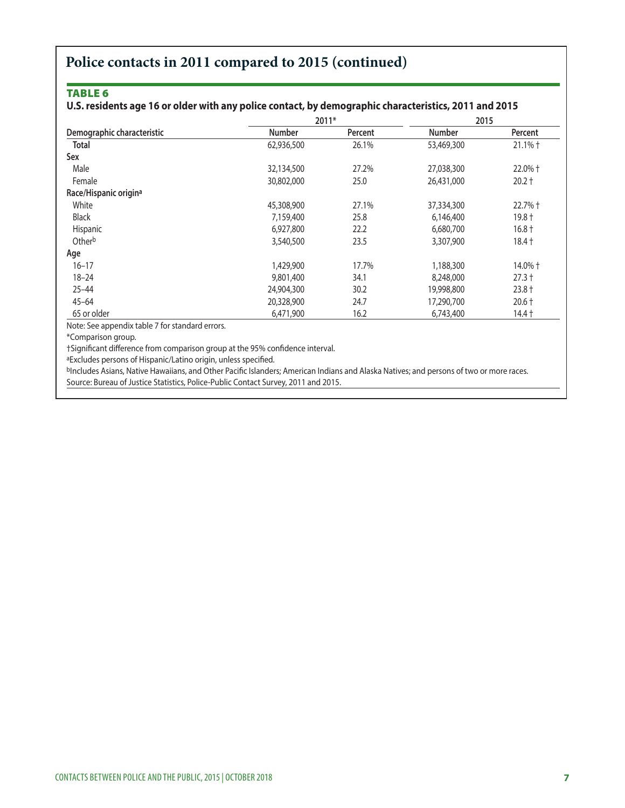# **Police contacts in 2011 compared to 2015 (continued)**

#### TABLE 6

#### **U.S. residents age 16 or older with any police contact, by demographic characteristics, 2011 and 2015**

|                                   |               | 2011*   | 2015          |           |  |
|-----------------------------------|---------------|---------|---------------|-----------|--|
| Demographic characteristic        | <b>Number</b> | Percent | <b>Number</b> | Percent   |  |
| <b>Total</b>                      | 62,936,500    | 26.1%   | 53,469,300    | $21.1%$ † |  |
| Sex                               |               |         |               |           |  |
| Male                              | 32,134,500    | 27.2%   | 27,038,300    | 22.0% +   |  |
| Female                            | 30,802,000    | 25.0    | 26,431,000    | $20.2 +$  |  |
| Race/Hispanic origin <sup>a</sup> |               |         |               |           |  |
| White                             | 45,308,900    | 27.1%   | 37,334,300    | 22.7% +   |  |
| <b>Black</b>                      | 7,159,400     | 25.8    | 6,146,400     | $19.8 +$  |  |
| Hispanic                          | 6,927,800     | 22.2    | 6,680,700     | $16.8 +$  |  |
| Otherb                            | 3,540,500     | 23.5    | 3,307,900     | $18.4 +$  |  |
| Age                               |               |         |               |           |  |
| $16 - 17$                         | 1,429,900     | 17.7%   | 1,188,300     | 14.0% +   |  |
| $18 - 24$                         | 9,801,400     | 34.1    | 8,248,000     | $27.3 +$  |  |
| $25 - 44$                         | 24,904,300    | 30.2    | 19,998,800    | $23.8 +$  |  |
| $45 - 64$                         | 20,328,900    | 24.7    | 17,290,700    | $20.6 +$  |  |
| 65 or older                       | 6,471,900     | 16.2    | 6,743,400     | $14.4 +$  |  |

Note: See appendix table 7 for standard errors.

\*Comparison group.

†Signifcant diference from comparison group at the 95% confdence interval.

aExcludes persons of Hispanic/Latino origin, unless specifed.

bIncludes Asians, Native Hawaiians, and Other Pacific Islanders; American Indians and Alaska Natives; and persons of two or more races. Source: Bureau of Justice Statistics, Police-Public Contact Survey, 2011 and 2015.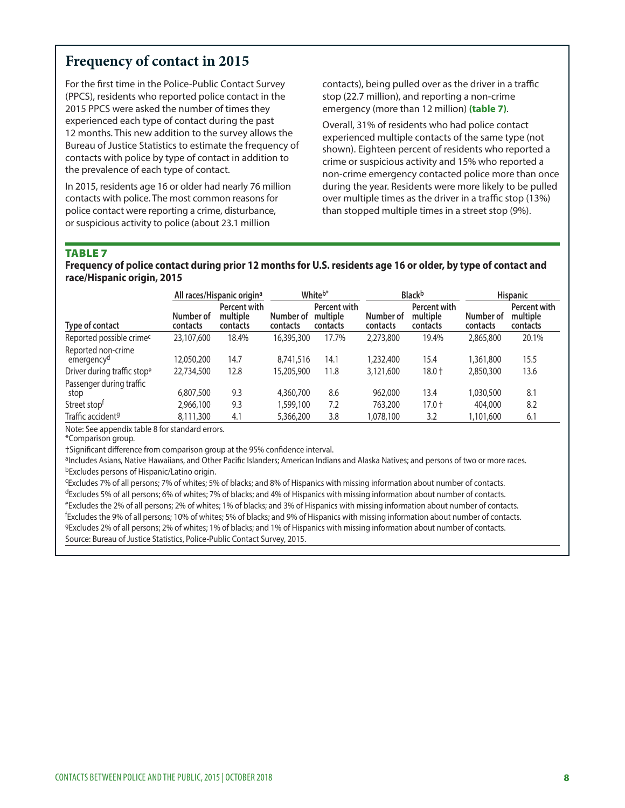# **Frequency of contact in 2015**

For the frst time in the Police-Public Contact Survey (PPCS), residents who reported police contact in the 2015 PPCS were asked the number of times they experienced each type of contact during the past 12 months. This new addition to the survey allows the Bureau of Justice Statistics to estimate the frequency of contacts with police by type of contact in addition to the prevalence of each type of contact.

In 2015, residents age 16 or older had nearly 76 million contacts with police. The most common reasons for police contact were reporting a crime, disturbance, or suspicious activity to police (about 23.1 million

contacts), being pulled over as the driver in a traffic stop (22.7 million), and reporting a non-crime emergency (more than 12 million) **(table 7)**.

Overall, 31% of residents who had police contact experienced multiple contacts of the same type (not shown). Eighteen percent of residents who reported a crime or suspicious activity and 15% who reported a non-crime emergency contacted police more than once during the year. Residents were more likely to be pulled over multiple times as the driver in a traffic stop (13%) than stopped multiple times in a street stop (9%).

#### TABLE 7

**Frequency of police contact during prior 12 months for U.S. residents age 16 or older, by type of contact and race/Hispanic origin, 2015** 

|                                              | All races/Hispanic origin <sup>a</sup> |                                      | Whiteb*               |                                      | Blackb                |                                      | <b>Hispanic</b>       |                                      |
|----------------------------------------------|----------------------------------------|--------------------------------------|-----------------------|--------------------------------------|-----------------------|--------------------------------------|-----------------------|--------------------------------------|
| Type of contact                              | Number of<br>contacts                  | Percent with<br>multiple<br>contacts | Number of<br>contacts | Percent with<br>multiple<br>contacts | Number of<br>contacts | Percent with<br>multiple<br>contacts | Number of<br>contacts | Percent with<br>multiple<br>contacts |
| Reported possible crime <sup>c</sup>         | 23,107,600                             | 18.4%                                | 16,395,300            | 17.7%                                | 2,273,800             | 19.4%                                | 2,865,800             | 20.1%                                |
| Reported non-crime<br>emergency <sup>d</sup> | 12,050,200                             | 14.7                                 | 8.741.516             | 14.1                                 | 1,232,400             | 15.4                                 | 1,361,800             | 15.5                                 |
| Driver during traffic stope                  | 22,734,500                             | 12.8                                 | 15,205,900            | 11.8                                 | 3,121,600             | $18.0 +$                             | 2,850,300             | 13.6                                 |
| Passenger during traffic<br>stop             | 6,807,500                              | 9.3                                  | 4,360,700             | 8.6                                  | 962,000               | 13.4                                 | 1,030,500             | 8.1                                  |
| Street stop <sup>t</sup>                     | 2,966,100                              | 9.3                                  | 1,599,100             | 7.2                                  | 763,200               | $17.0 +$                             | 404,000               | 8.2                                  |
| Traffic accident <sup>9</sup>                | 8,111,300                              | 4.1                                  | 5,366,200             | 3.8                                  | 1.078.100             | 3.2                                  | 1,101,600             | 6.1                                  |

Note: See appendix table 8 for standard errors.

\*Comparison group.

†Significant difference from comparison group at the 95% confidence interval.<br><sup>a</sup>Includes Asians, Native Hawaiians, and Other Pacific Islanders; American Indians and Alaska Natives; and persons of two or more races. bExcludes persons of Hispanic/Latino origin.

cExcludes 7% of all persons; 7% of whites; 5% of blacks; and 8% of Hispanics with missing information about number of contacts. dExcludes 5% of all persons; 6% of whites; 7% of blacks; and 4% of Hispanics with missing information about number of contacts. eExcludes the 2% of all persons; 2% of whites; 1% of blacks; and 3% of Hispanics with missing information about number of contacts. f Excludes the 9% of all persons; 10% of whites; 5% of blacks; and 9% of Hispanics with missing information about number of contacts. gExcludes 2% of all persons; 2% of whites; 1% of blacks; and 1% of Hispanics with missing information about number of contacts. Source: Bureau of Justice Statistics, Police-Public Contact Survey, 2015.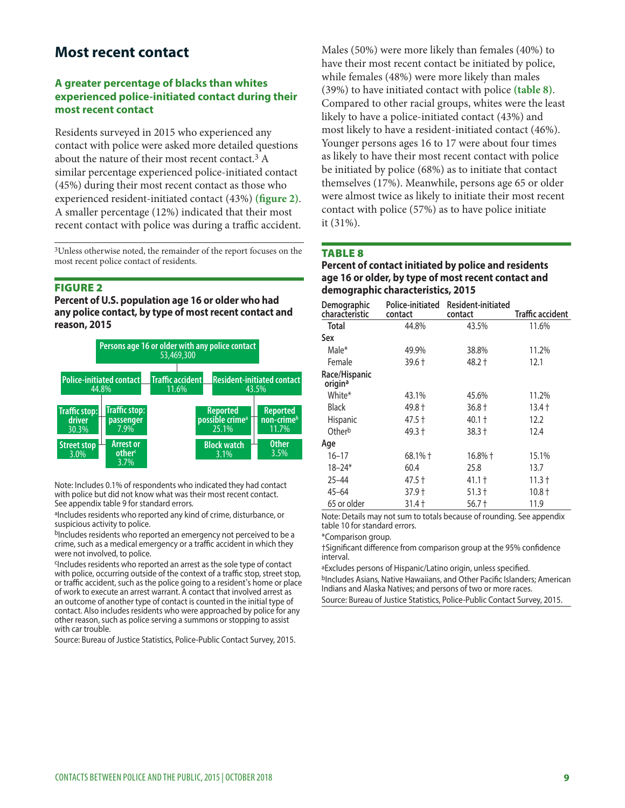# **Most recent contact**

#### **A greater percentage of blacks than whites experienced police-initiated contact during their most recent contact**

 experienced resident-initiated contact (43%) **(fgure 2)**. Residents surveyed in 2015 who experienced any contact with police were asked more detailed questions about the nature of their most recent contact.3 A similar percentage experienced police-initiated contact (45%) during their most recent contact as those who A smaller percentage (12%) indicated that their most recent contact with police was during a traffic accident.

3Unless otherwise noted, the remainder of the report focuses on the most recent police contact of residents.

#### FIGURE 2

**Percent of U.S. population age 16 or older who had any police contact, by type of most recent contact and reason, 2015** 



Note: Includes 0.1% of respondents who indicated they had contact with police but did not know what was their most recent contact. See appendix table 9 for standard errors.

aIncludes residents who reported any kind of crime, disturbance, or suspicious activity to police.

bIncludes residents who reported an emergency not perceived to be a crime, such as a medical emergency or a traffic accident in which they were not involved, to police.

<sup>c</sup>Includes residents who reported an arrest as the sole type of contact with police, occurring outside of the context of a traffic stop, street stop, or traffic accident, such as the police going to a resident's home or place of work to execute an arrest warrant. A contact that involved arrest as an outcome of another type of contact is counted in the initial type of contact. Also includes residents who were approached by police for any other reason, such as police serving a summons or stopping to assist with car trouble.

Source: Bureau of Justice Statistics, Police-Public Contact Survey, 2015.

Males (50%) were more likely than females (40%) to have their most recent contact be initiated by police, while females (48%) were more likely than males (39%) to have initiated contact with police **(table 8)**. Compared to other racial groups, whites were the least likely to have a police-initiated contact (43%) and most likely to have a resident-initiated contact (46%). Younger persons ages 16 to 17 were about four times as likely to have their most recent contact with police be initiated by police (68%) as to initiate that contact themselves (17%). Meanwhile, persons age 65 or older were almost twice as likely to initiate their most recent contact with police (57%) as to have police initiate it (31%).

#### TABLE 8

#### **Percent of contact initiated by police and residents age 16 or older, by type of most recent contact and demographic characteristics, 2015**

| Demographic<br>characteristic | Police-initiated<br>contact | Resident-initiated<br>contact | Traffic accident |
|-------------------------------|-----------------------------|-------------------------------|------------------|
| <b>Total</b>                  | 44.8%                       | 43.5%                         | 11.6%            |
| Sex                           |                             |                               |                  |
| Male*                         | 49.9%                       | 38.8%                         | 11.2%            |
| Female                        | 39.6 †                      | 48.2 †                        | 12.1             |
| Race/Hispanic<br>origina      |                             |                               |                  |
| White*                        | 43.1%                       | 45.6%                         | 11.2%            |
| <b>Black</b>                  | 49.8 †                      | 36.8 †                        | 13.4†            |
| <b>Hispanic</b>               | 47.5 †                      | $40.1 +$                      | 12.2             |
| Otherb                        | 49.3 †                      | 38.3 †                        | 12.4             |
| Age                           |                             |                               |                  |
| $16 - 17$                     | 68.1% +                     | $16.8\%$ †                    | 15.1%            |
| $18 - 24*$                    | 60.4                        | 25.8                          | 13.7             |
| $25 - 44$                     | 47.5 †                      | 41.1 †                        | 11.3 †           |
| $45 - 64$                     | 37.9†                       | 51.3 †                        | 10.8 †           |
| 65 or older                   | 31.4 †                      | 56.7 †                        | 11.9             |

Note: Details may not sum to totals because of rounding. See appendix table 10 for standard errors.

\*Comparison group.

†Signifcant diference from comparison group at the 95% confdence interval.

aExcludes persons of Hispanic/Latino origin, unless specified. bIncludes Asians, Native Hawaiians, and Other Pacifc Islanders; American Indians and Alaska Natives; and persons of two or more races.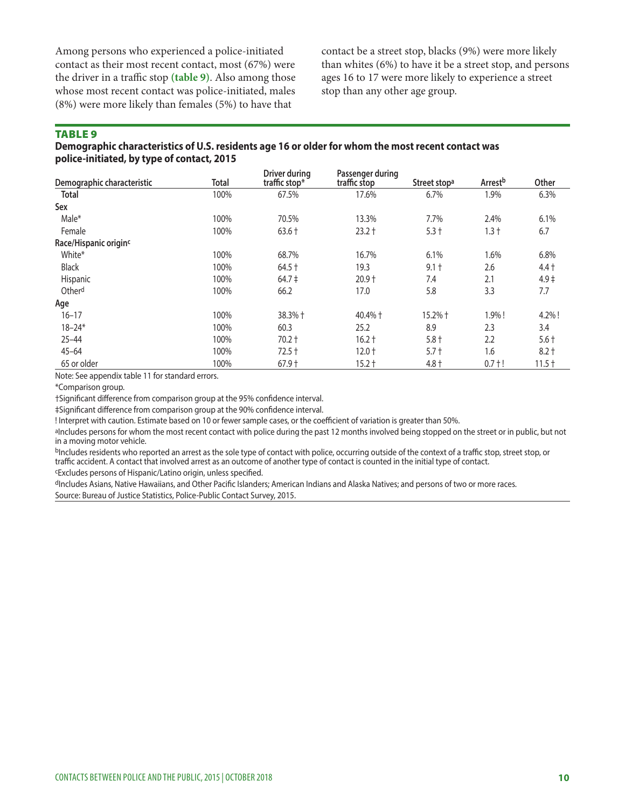the driver in a traffic stop (table 9). Also among those ages 16 to 17 were more likely to experience a street whose most recent contact was police-initiated, males stop than any other age group. (8%) were more likely than females (5%) to have that

Among persons who experienced a police-initiated contact be a street stop, blacks (9%) were more likely contact as their most recent contact, most  $(67%)$  were than whites  $(6%)$  to have it be a street stop, and persons

#### TABLE 9

#### **Demographic characteristics of U.S. residents age 16 or older for whom the most recent contact was police-initiated, by type of contact, 2015**

| Demographic characteristic        | Total | Driver during<br>traffic stop* | Passenger during<br>traffic stop | Street stop <sup>a</sup> | Arrest <sup>b</sup> | Other    |
|-----------------------------------|-------|--------------------------------|----------------------------------|--------------------------|---------------------|----------|
| <b>Total</b>                      | 100%  | 67.5%                          | 17.6%                            | 6.7%                     | 1.9%                | 6.3%     |
| Sex                               |       |                                |                                  |                          |                     |          |
| Male*                             | 100%  | 70.5%                          | 13.3%                            | 7.7%                     | 2.4%                | 6.1%     |
| Female                            | 100%  | $63.6 +$                       | $23.2 +$                         | $5.3 +$                  | $1.3 +$             | 6.7      |
| Race/Hispanic origin <sup>c</sup> |       |                                |                                  |                          |                     |          |
| White*                            | 100%  | 68.7%                          | 16.7%                            | 6.1%                     | 1.6%                | 6.8%     |
| <b>Black</b>                      | 100%  | $64.5 +$                       | 19.3                             | $9.1 +$                  | 2.6                 | $4.4 +$  |
| Hispanic                          | 100%  | $64.7 \pm$                     | $20.9 +$                         | 7.4                      | 2.1                 | $4.9+$   |
| Otherd                            | 100%  | 66.2                           | 17.0                             | 5.8                      | 3.3                 | 7.7      |
| Age                               |       |                                |                                  |                          |                     |          |
| $16 - 17$                         | 100%  | 38.3% +                        | 40.4% +                          | 15.2% +                  | 1.9%!               | 4.2%!    |
| $18 - 24*$                        | 100%  | 60.3                           | 25.2                             | 8.9                      | 2.3                 | 3.4      |
| $25 - 44$                         | 100%  | $70.2 +$                       | $16.2 +$                         | $5.8 +$                  | 2.2                 | $5.6+$   |
| $45 - 64$                         | 100%  | $72.5 +$                       | $12.0 +$                         | $5.7 +$                  | 1.6                 | $8.2 +$  |
| 65 or older                       | 100%  | $67.9 +$                       | $15.2 +$                         | $4.8 +$                  | $0.7 + !$           | $11.5 +$ |

Note: See appendix table 11 for standard errors.

\*Comparison group.

†Signifcant diference from comparison group at the 95% confdence interval.

‡Signifcant diference from comparison group at the 90% confdence interval.

! Interpret with caution. Estimate based on 10 or fewer sample cases, or the coefcient of variation is greater than 50%.

aIncludes persons for whom the most recent contact with police during the past 12 months involved being stopped on the street or in public, but not in a moving motor vehicle.

bIncludes residents who reported an arrest as the sole type of contact with police, occurring outside of the context of a traffic stop, street stop, or traffic accident. A contact that involved arrest as an outcome of another type of contact is counted in the initial type of contact.

cExcludes persons of Hispanic/Latino origin, unless specifed.

dIncludes Asians, Native Hawaiians, and Other Pacific Islanders; American Indians and Alaska Natives; and persons of two or more races. Source: Bureau of Justice Statistics, Police-Public Contact Survey, 2015.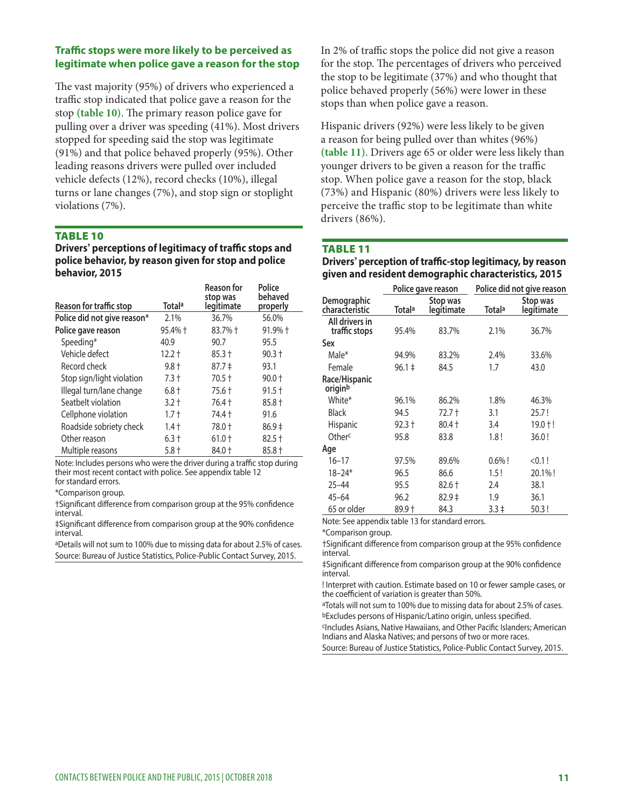#### **Traffic stops were more likely to be perceived as legitimate when police gave a reason for the stop**

The vast majority (95%) of drivers who experienced a traffic stop indicated that police gave a reason for the stop (table 10). The primary reason police gave for pulling over a driver was speeding (41%). Most drivers stopped for speeding said the stop was legitimate (91%) and that police behaved properly (95%). Other leading reasons drivers were pulled over included vehicle defects (12%), record checks (10%), illegal turns or lane changes (7%), and stop sign or stoplight violations (7%).

#### TABLE 10

**Drivers**' perceptions of legitimacy of traffic stops and **police behavior, by reason given for stop and police behavior, 2015** 

| Reason for traffic stop     | Totala   | <b>Reason for</b><br>stop was<br>legitimate | Police<br>behaved<br>properly |
|-----------------------------|----------|---------------------------------------------|-------------------------------|
| Police did not give reason* | 2.1%     | 36.7%                                       | 56.0%                         |
| Police gave reason          | 95.4% +  | 83.7% +                                     | $91.9%$ †                     |
| Speeding*                   | 40.9     | 90.7                                        | 95.5                          |
| Vehicle defect              | $12.2 +$ | $85.3 +$                                    | $90.3 +$                      |
| Record check                | $9.8 +$  | $87.7 \pm$                                  | 93.1                          |
| Stop sign/light violation   | $7.3 +$  | $70.5 +$                                    | $90.0 +$                      |
| Illegal turn/lane change    | $6.8 +$  | 75.6 +                                      | $91.5 +$                      |
| Seatbelt violation          | $3.2 +$  | 76.4 +                                      | $85.8 +$                      |
| Cellphone violation         | $1.7 +$  | 74.4 t                                      | 91.6                          |
| Roadside sobriety check     | $1.4 +$  | 78.0 +                                      | $86.9+$                       |
| Other reason                | 6.3†     | $61.0 +$                                    | $82.5 +$                      |
| Multiple reasons            | $5.8 +$  | 84.0 †                                      | $85.8 +$                      |

Note: Includes persons who were the driver during a traffic stop during their most recent contact with police. See appendix table 12 for standard errors.

\*Comparison group.

†Signifcant diference from comparison group at the 95% confdence interval.

‡Signifcant diference from comparison group at the 90% confdence interval.

aDetails will not sum to 100% due to missing data for about 2.5% of cases. Source: Bureau of Justice Statistics, Police-Public Contact Survey, 2015.

In 2% of traffic stops the police did not give a reason for the stop. The percentages of drivers who perceived the stop to be legitimate (37%) and who thought that police behaved properly (56%) were lower in these stops than when police gave a reason.

younger drivers to be given a reason for the traffic Hispanic drivers (92%) were less likely to be given a reason for being pulled over than whites (96%) **(table 11)**. Drivers age 65 or older were less likely than stop. When police gave a reason for the stop, black (73%) and Hispanic (80%) drivers were less likely to perceive the traffic stop to be legitimate than white drivers (86%).

#### TABLE 11

**Drivers' perception of trafc-stop legitimacy, by reason given and resident demographic characteristics, 2015** 

|                                 |            | Police gave reason     | Police did not give reason |                        |  |  |
|---------------------------------|------------|------------------------|----------------------------|------------------------|--|--|
| Demographic<br>characteristic   | Totalª     | Stop was<br>legitimate | Totala                     | Stop was<br>legitimate |  |  |
| All drivers in<br>traffic stops | 95.4%      | 83.7%                  | 2.1%                       | 36.7%                  |  |  |
| Sex                             |            |                        |                            |                        |  |  |
| Male*                           | 94.9%      | 83.2%                  | 2.4%                       | 33.6%                  |  |  |
| Female                          | $96.1 \pm$ | 84.5                   | 1.7                        | 43.0                   |  |  |
| Race/Hispanic<br>originb        |            |                        |                            |                        |  |  |
| White*                          | 96.1%      | 86.2%                  | 1.8%                       | 46.3%                  |  |  |
| Black                           | 94.5       | 72.7 t                 | 3.1                        | 25.7!                  |  |  |
| <b>Hispanic</b>                 | 92.3 +     | $80.4 +$               | 3.4                        | $19.0 + !$             |  |  |
| Otherc                          | 95.8       | 83.8                   | 1.8!                       | 36.0!                  |  |  |
| Age                             |            |                        |                            |                        |  |  |
| $16 - 17$                       | 97.5%      | 89.6%                  | $0.6\%$ !                  | < 0.1!                 |  |  |
| 18–24*                          | 96.5       | 86.6                   | 1.5!                       | 20.1%!                 |  |  |
| $25 - 44$                       | 95.5       | $82.6 +$               | 2.4                        | 38.1                   |  |  |
| $45 - 64$                       | 96.2       | $82.9+$                | 1.9                        | 36.1                   |  |  |
| 65 or older                     | 89.9 †     | 84.3                   | $3.3 \pm$                  | 50.3!                  |  |  |

Note: See appendix table 13 for standard errors.

\*Comparison group.

†Signifcant diference from comparison group at the 95% confdence interval.

‡Signifcant diference from comparison group at the 90% confdence interval.

! Interpret with caution. Estimate based on 10 or fewer sample cases, or the coefficient of variation is greater than 50%.

aTotals will not sum to 100% due to missing data for about 2.5% of cases. bExcludes persons of Hispanic/Latino origin, unless specifed.

cIncludes Asians, Native Hawaiians, and Other Pacifc Islanders; American Indians and Alaska Natives; and persons of two or more races.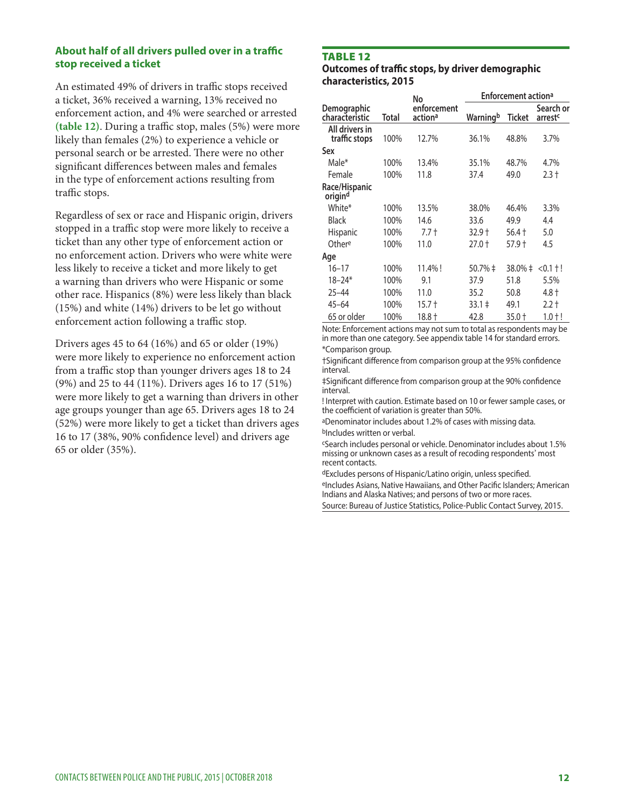#### **About half of all drivers pulled over in a traffic stop received a ticket**

An estimated 49% of drivers in traffic stops received a ticket, 36% received a warning, 13% received no enforcement action, and 4% were searched or arrested (table 12). During a traffic stop, males (5%) were more likely than females (2%) to experience a vehicle or personal search or be arrested. There were no other signifcant diferences between males and females in the type of enforcement actions resulting from traffic stops.

Regardless of sex or race and Hispanic origin, drivers stopped in a traffic stop were more likely to receive a ticket than any other type of enforcement action or no enforcement action. Drivers who were white were less likely to receive a ticket and more likely to get a warning than drivers who were Hispanic or some other race. Hispanics (8%) were less likely than black (15%) and white (14%) drivers to be let go without enforcement action following a traffic stop.

Drivers ages 45 to 64 (16%) and 65 or older (19%) were more likely to experience no enforcement action from a traffic stop than younger drivers ages 18 to 24 (9%) and 25 to 44 (11%). Drivers ages 16 to 17 (51%) were more likely to get a warning than drivers in other age groups younger than age 65. Drivers ages 18 to 24 (52%) were more likely to get a ticket than drivers ages 16 to 17 (38%, 90% confdence level) and drivers age 65 or older (35%).

### TABLE 12

**Outcomes of traffic stops, by driver demographic characteristics, 2015** 

|                                 |       | No                     | <b>Enforcement actiona</b> |         |                                  |  |
|---------------------------------|-------|------------------------|----------------------------|---------|----------------------------------|--|
| Demographic<br>characteristic   | Total | enforcement<br>actiona | Warningb                   | Ticket  | Search or<br>arrest <sup>c</sup> |  |
| All drivers in<br>traffic stops | 100%  | 12.7%                  | 36.1%                      | 48.8%   | 3.7%                             |  |
| Sex                             |       |                        |                            |         |                                  |  |
| Male*                           | 100%  | 13.4%                  | 35.1%                      | 48.7%   | 4.7%                             |  |
| Female                          | 100%  | 11.8                   | 37.4                       | 49.0    | $2.3 +$                          |  |
| Race/Hispanic<br>origind        |       |                        |                            |         |                                  |  |
| White*                          | 100%  | 13.5%                  | 38.0%                      | 46.4%   | 3.3%                             |  |
| Black                           | 100%  | 14.6                   | 33.6                       | 49.9    | 4.4                              |  |
| Hispanic                        | 100%  | $7.7 +$                | $32.9 +$                   | 56.4†   | 5.0                              |  |
| Othere                          | 100%  | 11.0                   | $27.0 +$                   | 57.9 †  | 4.5                              |  |
| Age                             |       |                        |                            |         |                                  |  |
| 16–17                           | 100%  | 11.4%!                 | 50.7% ‡                    | 38.0% ‡ | $<$ 0.1 $\pm$ !                  |  |
| $18 - 24*$                      | 100%  | 9.1                    | 37.9                       | 51.8    | 5.5%                             |  |
| 25–44                           | 100%  | 11.0                   | 35.2                       | 50.8    | 4.8 †                            |  |
| $45 - 64$                       | 100%  | 15.7 †                 | $33.1 \pm$                 | 49.1    | $2.2 +$                          |  |
| 65 or older                     | 100%  | 18.8†                  | 42.8                       | 35.0 t  | $1.0 + !$                        |  |

Note: Enforcement actions may not sum to total as respondents may be in more than one category. See appendix table 14 for standard errors. \*Comparison group.

†Signifcant diference from comparison group at the 95% confdence interval.

‡Signifcant diference from comparison group at the 90% confdence interval.

! Interpret with caution. Estimate based on 10 or fewer sample cases, or the coefficient of variation is greater than 50%.

aDenominator includes about 1.2% of cases with missing data. bIncludes written or verbal.

cSearch includes personal or vehicle. Denominator includes about 1.5% missing or unknown cases as a result of recoding respondents' most recent contacts.

dExcludes persons of Hispanic/Latino origin, unless specifed.

eIncludes Asians, Native Hawaiians, and Other Pacifc Islanders; American Indians and Alaska Natives; and persons of two or more races.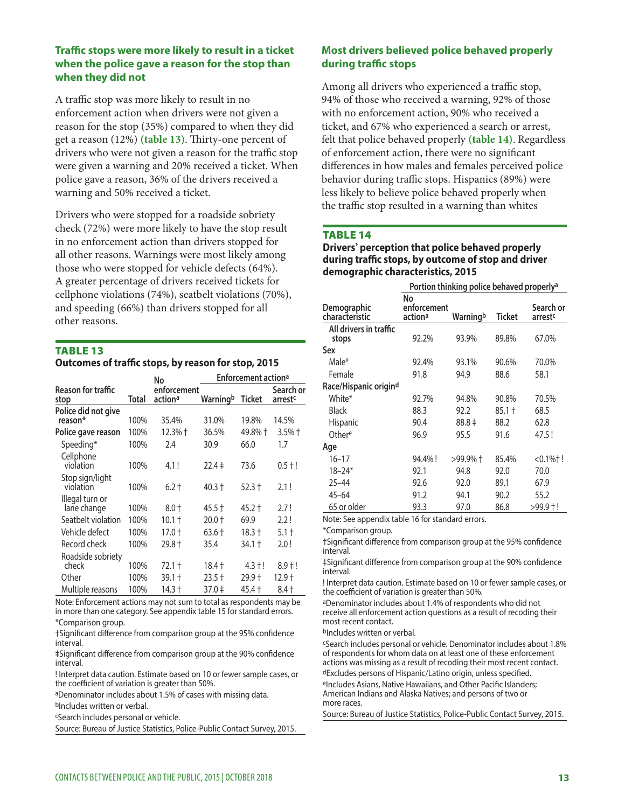#### **Traffic stops were more likely to result in a ticket when the police gave a reason for the stop than when they did not**

drivers who were not given a reason for the traffic stop A traffic stop was more likely to result in no enforcement action when drivers were not given a reason for the stop (35%) compared to when they did get a reason (12%) (table 13). Thirty-one percent of were given a warning and 20% received a ticket. When police gave a reason, 36% of the drivers received a warning and 50% received a ticket.

Drivers who were stopped for a roadside sobriety check (72%) were more likely to have the stop result in no enforcement action than drivers stopped for all other reasons. Warnings were most likely among those who were stopped for vehicle defects (64%). A greater percentage of drivers received tickets for cellphone violations (74%), seatbelt violations (70%), and speeding (66%) than drivers stopped for all other reasons.

### TABLE 13

**Outcomes of traffic stops, by reason for stop, 2015** 

|                                |       | No                     | <b>Enforcement action<sup>a</sup></b> |           |                                  |  |
|--------------------------------|-------|------------------------|---------------------------------------|-----------|----------------------------------|--|
| Reason for traffic<br>stop     | Total | enforcement<br>actiona | Warningb                              | Ticket    | Search or<br>arrest <sup>c</sup> |  |
| Police did not give<br>reason* | 100%  | 35.4%                  | 31.0%                                 | 19.8%     | 14.5%                            |  |
| Police gave reason             | 100%  | 12.3% †                | 36.5%                                 | 49.8% †   | $3.5%$ †                         |  |
| Speeding*                      | 100%  | 2.4                    | 30.9                                  | 66.0      | 1.7                              |  |
| Cellphone<br>violation         | 100%  | 4.1!                   | 22.4 ‡                                | 73.6      | $0.5 + !$                        |  |
| Stop sign/light<br>violation   | 100%  | 6.2†                   | 40.3 †                                | 52.3 †    | 2.1!                             |  |
| Illegal turn or<br>lane change | 100%  | $8.0 +$                | 45.5 †                                | 45.2 †    | 2.7!                             |  |
| Seatbelt violation             | 100%  | 10.1 †                 | $20.0 +$                              | 69.9      | 2.2!                             |  |
| Vehicle defect                 | 100%  | 17.0 t                 | 63.6 †                                | 18.3 †    | $5.1 +$                          |  |
| Record check                   | 100%  | 29.8 t                 | 35.4                                  | $34.1 +$  | 2.0!                             |  |
| Roadside sobriety<br>check     | 100%  | 72.1 t                 | 18.4†                                 | $4.3 + !$ | $8.9 \pm 1$                      |  |
| Other                          | 100%  | 39.1 t                 | 23.5 †                                | 29.9†     | 12.9†                            |  |
| Multiple reasons               | 100%  | 14.3†                  | $37.0 \pm$                            | 45.4 +    | 8.4 †                            |  |

Note: Enforcement actions may not sum to total as respondents may be in more than one category. See appendix table 15 for standard errors. \*Comparison group.

†Signifcant diference from comparison group at the 95% confdence interval.

‡Signifcant diference from comparison group at the 90% confdence interval.

! Interpret data caution. Estimate based on 10 or fewer sample cases, or the coefficient of variation is greater than 50%.

aDenominator includes about 1.5% of cases with missing data.

bIncludes written or verbal.

cSearch includes personal or vehicle.

Source: Bureau of Justice Statistics, Police-Public Contact Survey, 2015.

#### **Most drivers believed police behaved properly**  during traffic stops

Among all drivers who experienced a traffic stop, 94% of those who received a warning, 92% of those with no enforcement action, 90% who received a ticket, and 67% who experienced a search or arrest, felt that police behaved properly **(table 14)**. Regardless of enforcement action, there were no signifcant diferences in how males and females perceived police behavior during traffic stops. Hispanics (89%) were less likely to believe police behaved properly when the traffic stop resulted in a warning than whites

#### TABLE 14

**Drivers' perception that police behaved properly**  during traffic stops, by outcome of stop and driver **demographic characteristics, 2015** 

|                                 | Portion thinking police behaved properly <sup>a</sup> |            |        |                                  |  |  |  |
|---------------------------------|-------------------------------------------------------|------------|--------|----------------------------------|--|--|--|
| Demographic<br>characteristic   | No<br>enforcement<br>actiona                          | Warningb   | Ticket | Search or<br>arrest <sup>c</sup> |  |  |  |
| All drivers in traffic<br>stops | 92.2%                                                 | 93.9%      | 89.8%  | 67.0%                            |  |  |  |
| Sex                             |                                                       |            |        |                                  |  |  |  |
| Male*                           | 92.4%                                                 | 93.1%      | 90.6%  | 70.0%                            |  |  |  |
| Female                          | 91.8                                                  | 94.9       | 88.6   | 58.1                             |  |  |  |
| Race/Hispanic origind           |                                                       |            |        |                                  |  |  |  |
| White*                          | 92.7%                                                 | 94.8%      | 90.8%  | 70.5%                            |  |  |  |
| <b>Black</b>                    | 88.3                                                  | 92.2       | 85.1 † | 68.5                             |  |  |  |
| <b>Hispanic</b>                 | 90.4                                                  | $88.8 \pm$ | 88.2   | 62.8                             |  |  |  |
| Othere                          | 96.9                                                  | 95.5       | 91.6   | 47.5!                            |  |  |  |
| Age                             |                                                       |            |        |                                  |  |  |  |
| $16 - 17$                       | 94.4%!                                                | >99.9%+    | 85.4%  | $< 0.1%$ †!                      |  |  |  |
| $18 - 24*$                      | 92.1                                                  | 94.8       | 92.0   | 70.0                             |  |  |  |
| $25 - 44$                       | 92.6                                                  | 92.0       | 89.1   | 67.9                             |  |  |  |
| $45 - 64$                       | 91.2                                                  | 94.1       | 90.2   | 55.2                             |  |  |  |
| 65 or older                     | 93.3                                                  | 97.0       | 86.8   | >99.9†!                          |  |  |  |

Note: See appendix table 16 for standard errors.

\*Comparison group.

†Signifcant diference from comparison group at the 95% confdence interval.

‡Signifcant diference from comparison group at the 90% confdence interval.

! Interpret data caution. Estimate based on 10 or fewer sample cases, or the coefficient of variation is greater than 50%.

aDenominator includes about 1.4% of respondents who did not receive all enforcement action questions as a result of recoding their most recent contact.

bIncludes written or verbal.

cSearch includes personal or vehicle. Denominator includes about 1.8% of respondents for whom data on at least one of these enforcement actions was missing as a result of recoding their most recent contact. dExcludes persons of Hispanic/Latino origin, unless specifed.

eIncludes Asians, Native Hawaiians, and Other Pacific Islanders; American Indians and Alaska Natives; and persons of two or more races.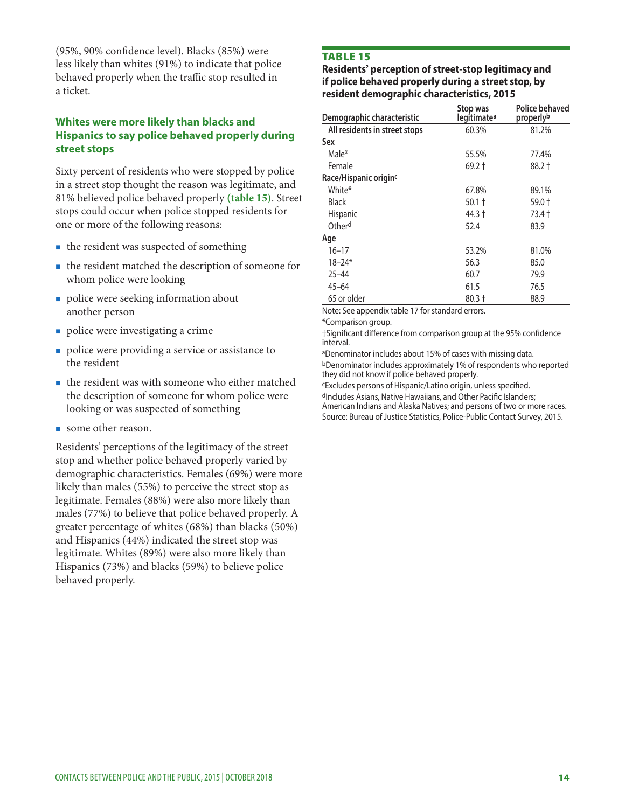(95%, 90% confdence level). Blacks (85%) were less likely than whites (91%) to indicate that police behaved properly when the traffic stop resulted in a ticket.

#### **Whites were more likely than blacks and Hispanics to say police behaved properly during street stops**

Sixty percent of residents who were stopped by police in a street stop thought the reason was legitimate, and 81% believed police behaved properly **(table 15)**. Street stops could occur when police stopped residents for one or more of the following reasons:

- $\blacksquare$  the resident was suspected of something
- the resident matched the description of someone for whom police were looking
- police were seeking information about another person
- police were investigating a crime
- police were providing a service or assistance to the resident
- the resident was with someone who either matched the description of someone for whom police were looking or was suspected of something
- some other reason.

Residents' perceptions of the legitimacy of the street stop and whether police behaved properly varied by demographic characteristics. Females (69%) were more likely than males (55%) to perceive the street stop as legitimate. Females (88%) were also more likely than males (77%) to believe that police behaved properly. A greater percentage of whites (68%) than blacks (50%) and Hispanics (44%) indicated the street stop was legitimate. Whites (89%) were also more likely than Hispanics (73%) and blacks (59%) to believe police behaved properly.

#### TABLE 15

#### **Residents' perception of street-stop legitimacy and if police behaved properly during a street stop, by resident demographic characteristics, 2015**

| Demographic characteristic        | Stop was<br>legitimate <sup>a</sup> | Police behaved<br>properly <sup>b</sup> |
|-----------------------------------|-------------------------------------|-----------------------------------------|
| All residents in street stops     | 60.3%                               | 81.2%                                   |
| Sex                               |                                     |                                         |
| Male*                             | 55.5%                               | 77.4%                                   |
| Female                            | 69.2 †                              | 88.2 †                                  |
| Race/Hispanic origin <sup>c</sup> |                                     |                                         |
| White*                            | 67.8%                               | 89.1%                                   |
| Black                             | $50.1 +$                            | 59.0 †                                  |
| <b>Hispanic</b>                   | 44.3 †                              | 73.4 t                                  |
| Otherd                            | 52.4                                | 83.9                                    |
| Age                               |                                     |                                         |
| 16–17                             | 53.2%                               | 81.0%                                   |
| $18 - 24*$                        | 56.3                                | 85.0                                    |
| $25 - 44$                         | 60.7                                | 79.9                                    |
| $45 - 64$                         | 61.5                                | 76.5                                    |
| 65 or older                       | $80.3 +$                            | 88.9                                    |

Note: See appendix table 17 for standard errors.

\*Comparison group.

†Signifcant diference from comparison group at the 95% confdence interval.

aDenominator includes about 15% of cases with missing data. bDenominator includes approximately 1% of respondents who reported they did not know if police behaved properly.

dIncludes Asians, Native Hawaiians, and Other Pacific Islanders; cExcludes persons of Hispanic/Latino origin, unless specifed. American Indians and Alaska Natives; and persons of two or more races.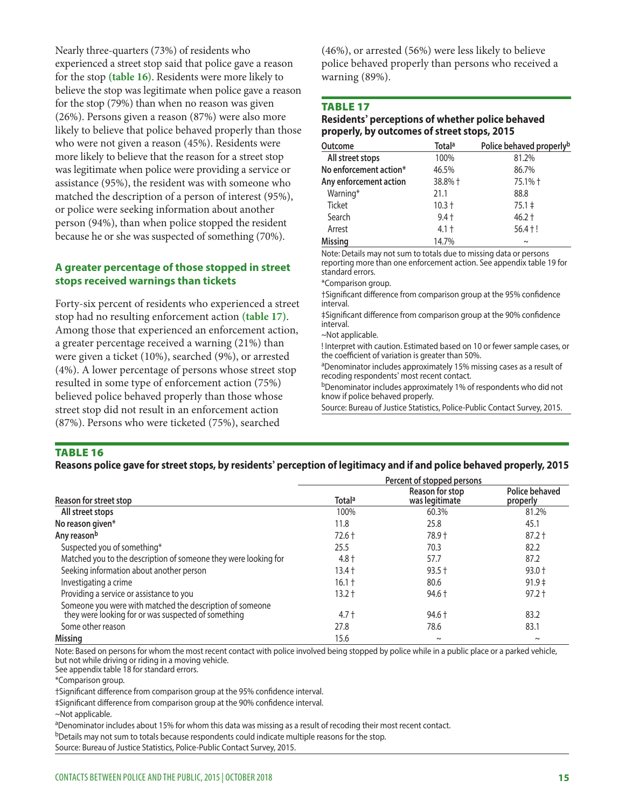experienced a street stop said that police gave a reason believe the stop was legitimate when police gave a reason for the stop (79%) than when no reason was given more likely to believe that the reason for a street stop person (94%), than when police stopped the resident Nearly three-quarters (73%) of residents who for the stop **(table 16)**. Residents were more likely to (26%). Persons given a reason (87%) were also more likely to believe that police behaved properly than those who were not given a reason (45%). Residents were was legitimate when police were providing a service or assistance (95%), the resident was with someone who matched the description of a person of interest (95%), or police were seeking information about another because he or she was suspected of something (70%).

#### **A greater percentage of those stopped in street stops received warnings than tickets**

Forty-six percent of residents who experienced a street stop had no resulting enforcement action **(table 17)**. Among those that experienced an enforcement action, a greater percentage received a warning (21%) than were given a ticket (10%), searched (9%), or arrested (4%). A lower percentage of persons whose street stop resulted in some type of enforcement action (75%) believed police behaved properly than those whose street stop did not result in an enforcement action (87%). Persons who were ticketed (75%), searched

(46%), or arrested (56%) were less likely to believe police behaved properly than persons who received a warning (89%).

#### TABLE 17

#### **Residents' perceptions of whether police behaved properly, by outcomes of street stops, 2015**

| <b>Outcome</b>         | <b>Totala</b> | Police behaved properlyb |
|------------------------|---------------|--------------------------|
| All street stops       | 100%          | 81.2%                    |
| No enforcement action* | 46.5%         | 86.7%                    |
| Any enforcement action | 38.8% +       | 75.1% +                  |
| Warning*               | 21.1          | 88.8                     |
| <b>Ticket</b>          | $10.3 +$      | $75.1 \pm$               |
| Search                 | $9.4 +$       | $46.2 +$                 |
| Arrest                 | $4.1 +$       | $56.4 + !$               |
| <b>Missing</b>         | 14.7%         | $\sim$                   |

Note: Details may not sum to totals due to missing data or persons reporting more than one enforcement action. See appendix table 19 for standard errors.

\*Comparison group.

†Signifcant diference from comparison group at the 95% confdence interval.

‡Signifcant diference from comparison group at the 90% confdence interval.

~Not applicable.

! Interpret with caution. Estimated based on 10 or fewer sample cases, or the coefficient of variation is greater than 50%.

aDenominator includes approximately 15% missing cases as a result of recoding respondents' most recent contact.

bDenominator includes approximately 1% of respondents who did not know if police behaved properly.

Source: Bureau of Justice Statistics, Police-Public Contact Survey, 2015.

#### TABLE 16

#### **Reasons police gave for street stops, by residents' perception of legitimacy and if and police behaved properly, 2015**

|                                                                                                                 |          | Percent of stopped persons        |                            |
|-----------------------------------------------------------------------------------------------------------------|----------|-----------------------------------|----------------------------|
| Reason for street stop                                                                                          | Totala   | Reason for stop<br>was legitimate | Police behaved<br>properly |
| All street stops                                                                                                | 100%     | 60.3%                             | 81.2%                      |
| No reason given*                                                                                                | 11.8     | 25.8                              | 45.1                       |
| Any reasonb                                                                                                     | $72.6 +$ | 78.9 +                            | $87.2 +$                   |
| Suspected you of something*                                                                                     | 25.5     | 70.3                              | 82.2                       |
| Matched you to the description of someone they were looking for                                                 | $4.8 +$  | 57.7                              | 87.2                       |
| Seeking information about another person                                                                        | 13.4 †   | $93.5 +$                          | $93.0 +$                   |
| Investigating a crime                                                                                           | $16.1 +$ | 80.6                              | $91.9 \pm$                 |
| Providing a service or assistance to you                                                                        | 13.2 †   | $94.6 +$                          | $97.2 +$                   |
| Someone you were with matched the description of someone<br>they were looking for or was suspected of something | $4.7 +$  | $94.6 +$                          | 83.2                       |
| Some other reason                                                                                               | 27.8     | 78.6                              | 83.1                       |
| <b>Missing</b>                                                                                                  | 15.6     | $\sim$                            | $\sim$                     |

Note: Based on persons for whom the most recent contact with police involved being stopped by police while in a public place or a parked vehicle, but not while driving or riding in a moving vehicle.

See appendix table 18 for standard errors.

\*Comparison group.

†Signifcant diference from comparison group at the 95% confdence interval.

‡Signifcant diference from comparison group at the 90% confdence interval.

~Not applicable.

aDenominator includes about 15% for whom this data was missing as a result of recoding their most recent contact.

bDetails may not sum to totals because respondents could indicate multiple reasons for the stop.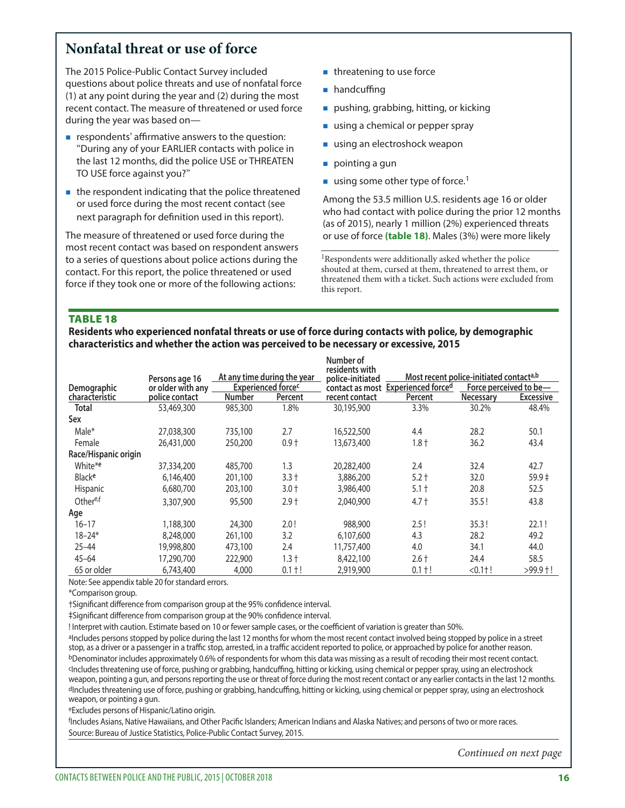# **Nonfatal threat or use of force**

The 2015 Police-Public Contact Survey included questions about police threats and use of nonfatal force (1) at any point during the year and (2) during the most recent contact. The measure of threatened or used force during the year was based on—

- $\blacksquare$  respondents' affirmative answers to the question: "During any of your EARLIER contacts with police in the last 12 months, did the police USE or THREATEN TO USE force against you?"
- $\blacksquare$  the respondent indicating that the police threatened or used force during the most recent contact (see next paragraph for defnition used in this report).

The measure of threatened or used force during the most recent contact was based on respondent answers to a series of questions about police actions during the contact. For this report, the police threatened or used force if they took one or more of the following actions:

- threatening to use force
- **handcuffing**
- pushing, grabbing, hitting, or kicking
- using a chemical or pepper spray
- using an electroshock weapon
- pointing a gun
- using some other type of force.<sup>1</sup>

Among the 53.5 million U.S. residents age 16 or older who had contact with police during the prior 12 months (as of 2015), nearly 1 million (2%) experienced threats or use of force **(table 18)**. Males (3%) were more likely

<sup>1</sup>Respondents were additionally asked whether the police shouted at them, cursed at them, threatened to arrest them, or threatened them with a ticket. Such actions were excluded from this report.

#### TABLE 18

**Residents who experienced nonfatal threats or use of force during contacts with police, by demographic characteristics and whether the action was perceived to be necessary or excessive, 2015** 

|                      | Persons age 16    |               | At any time during the year | Number of<br>residents with<br>police-initiated | Most recent police-initiated contact <sup>a,b</sup> |                  |                        |
|----------------------|-------------------|---------------|-----------------------------|-------------------------------------------------|-----------------------------------------------------|------------------|------------------------|
| Demographic          | or older with any |               | <b>Experienced forces</b>   |                                                 | contact as most Experienced forced                  |                  | Force perceived to be- |
| characteristic       | police contact    | <b>Number</b> | Percent                     | recent contact                                  | Percent                                             | <b>Necessary</b> | <b>Excessive</b>       |
| Total                | 53,469,300        | 985,300       | 1.8%                        | 30,195,900                                      | 3.3%                                                | 30.2%            | 48.4%                  |
| Sex                  |                   |               |                             |                                                 |                                                     |                  |                        |
| Male*                | 27,038,300        | 735,100       | 2.7                         | 16,522,500                                      | 4.4                                                 | 28.2             | 50.1                   |
| Female               | 26,431,000        | 250,200       | $0.9 +$                     | 13,673,400                                      | $1.8 +$                                             | 36.2             | 43.4                   |
| Race/Hispanic origin |                   |               |                             |                                                 |                                                     |                  |                        |
| White*e              | 37,334,200        | 485,700       | 1.3                         | 20,282,400                                      | 2.4                                                 | 32.4             | 42.7                   |
| Blacke               | 6,146,400         | 201,100       | $3.3 +$                     | 3,886,200                                       | $5.2 +$                                             | 32.0             | $59.9 \pm$             |
| Hispanic             | 6,680,700         | 203,100       | $3.0 +$                     | 3,986,400                                       | $5.1 +$                                             | 20.8             | 52.5                   |
| Other <sup>e,f</sup> | 3,307,900         | 95,500        | $2.9 +$                     | 2,040,900                                       | $4.7 +$                                             | 35.5!            | 43.8                   |
| Age                  |                   |               |                             |                                                 |                                                     |                  |                        |
| $16 - 17$            | 1,188,300         | 24,300        | 2.0!                        | 988,900                                         | 2.5!                                                | 35.3!            | 22.1!                  |
| $18 - 24*$           | 8,248,000         | 261,100       | 3.2                         | 6,107,600                                       | 4.3                                                 | 28.2             | 49.2                   |
| $25 - 44$            | 19,998,800        | 473,100       | 2.4                         | 11,757,400                                      | 4.0                                                 | 34.1             | 44.0                   |
| $45 - 64$            | 17,290,700        | 222,900       | $1.3 +$                     | 8,422,100                                       | $2.6 +$                                             | 24.4             | 58.5                   |
| 65 or older          | 6,743,400         | 4,000         | $0.1 + !$                   | 2,919,900                                       | $0.1 + !$                                           | $< 0.111$ !      | $>99.9$ †!             |

Note: See appendix table 20 for standard errors.

\*Comparison group.

†Signifcant diference from comparison group at the 95% confdence interval.

‡Signifcant diference from comparison group at the 90% confdence interval.

! Interpret with caution. Estimate based on 10 or fewer sample cases, or the coefficient of variation is greater than 50%.

aIncludes persons stopped by police during the last 12 months for whom the most recent contact involved being stopped by police in a street stop, as a driver or a passenger in a traffic stop, arrested, in a traffic accident reported to police, or approached by police for another reason. bDenominator includes approximately 0.6% of respondents for whom this data was missing as a result of recoding their most recent contact. <sup>c</sup>Includes threatening use of force, pushing or grabbing, handcuffing, hitting or kicking, using chemical or pepper spray, using an electroshock weapon, pointing a gun, and persons reporting the use or threat of force during the most recent contact or any earlier contacts in the last 12 months. dIncludes threatening use of force, pushing or grabbing, handcuffing, hitting or kicking, using chemical or pepper spray, using an electroshock weapon, or pointing a gun.

eExcludes persons of Hispanic/Latino origin.

f Includes Asians, Native Hawaiians, and Other Pacifc Islanders; American Indians and Alaska Natives; and persons of two or more races. Source: Bureau of Justice Statistics, Police-Public Contact Survey, 2015.

*Continued on next page*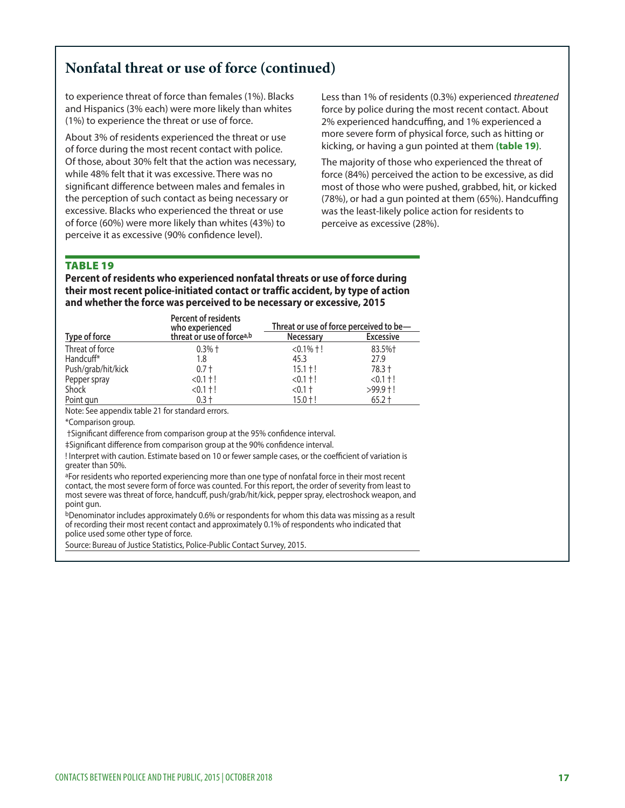# **Nonfatal threat or use of force (continued)**

to experience threat of force than females (1%). Blacks and Hispanics (3% each) were more likely than whites (1%) to experience the threat or use of force.

About 3% of residents experienced the threat or use of force during the most recent contact with police. Of those, about 30% felt that the action was necessary, while 48% felt that it was excessive. There was no signifcant diference between males and females in the perception of such contact as being necessary or excessive. Blacks who experienced the threat or use of force (60%) were more likely than whites (43%) to perceive it as excessive (90% confdence level).

Less than 1% of residents (0.3%) experienced *threatened*  force by police during the most recent contact. About 2% experienced handcuffing, and 1% experienced a more severe form of physical force, such as hitting or kicking, or having a gun pointed at them **(table 19)**.

The majority of those who experienced the threat of force (84%) perceived the action to be excessive, as did most of those who were pushed, grabbed, hit, or kicked  $(78%)$ , or had a gun pointed at them  $(65%)$ . Handcuffing was the least-likely police action for residents to perceive as excessive (28%).

#### TABLE 19

**Percent of residents who experienced nonfatal threats or use of force during their most recent police-initiated contact or traffic accident, by type of action and whether the force was perceived to be necessary or excessive, 2015** 

|                       | Percent of residents<br>who experienced | Threat or use of force perceived to be- |                  |
|-----------------------|-----------------------------------------|-----------------------------------------|------------------|
| Type of force         | threat or use of force <sup>a,b</sup>   | <b>Necessary</b>                        | <b>Excessive</b> |
| Threat of force       | $0.3%$ †                                | $< 0.1\% + 1$                           | 83.5%+           |
| Handcuff <sup>*</sup> | 1.8                                     | 45.3                                    | 27.9             |
| Push/grab/hit/kick    | $0.7 +$                                 | $15.1 + !$                              | 78.3 +           |
| Pepper spray          | $< 0.1 + 1$                             | $< 0.1 + 1$                             | $< 0.1 + 1$      |
| Shock                 | $< 0.1 + 1$                             | $< 0.1 +$                               | $>99.9$ †!       |
| Point gun             | $0.3 +$                                 | $15.0 + !$                              | $65.2 +$         |

Note: See appendix table 21 for standard errors.

\*Comparison group.

†Signifcant diference from comparison group at the 95% confdence interval.

‡Signifcant diference from comparison group at the 90% confdence interval.

! Interpret with caution. Estimate based on 10 or fewer sample cases, or the coefficient of variation is greater than 50%.

aFor residents who reported experiencing more than one type of nonfatal force in their most recent contact, the most severe form of force was counted. For this report, the order of severity from least to most severe was threat of force, handcuff, push/grab/hit/kick, pepper spray, electroshock weapon, and point gun.

 $b$ Denominator includes approximately 0.6% or respondents for whom this data was missing as a result of recording their most recent contact and approximately 0.1% of respondents who indicated that police used some other type of force.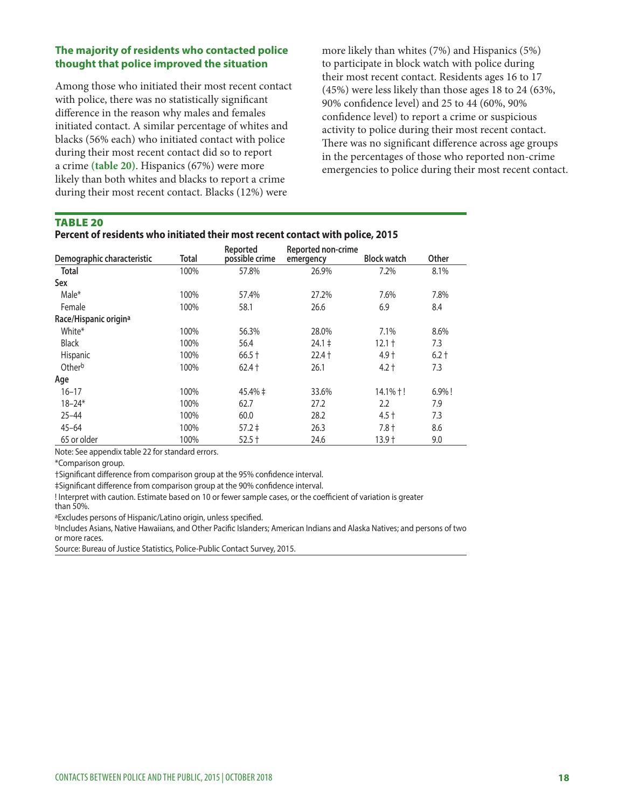#### **The majority of residents who contacted police thought that police improved the situation**

Among those who initiated their most recent contact with police, there was no statistically signifcant diference in the reason why males and females initiated contact. A similar percentage of whites and blacks (56% each) who initiated contact with police during their most recent contact did so to report a crime **(table 20)**. Hispanics (67%) were more likely than both whites and blacks to report a crime during their most recent contact. Blacks (12%) were

more likely than whites (7%) and Hispanics (5%) to participate in block watch with police during their most recent contact. Residents ages 16 to 17 (45%) were less likely than those ages 18 to 24 (63%, 90% confdence level) and 25 to 44 (60%, 90% confdence level) to report a crime or suspicious activity to police during their most recent contact. There was no significant difference across age groups in the percentages of those who reported non-crime emergencies to police during their most recent contact.

#### TABLE 20

#### **Percent of residents who initiated their most recent contact with police, 2015**

|                                   |       | Reported       | Reported non-crime |                    |           |
|-----------------------------------|-------|----------------|--------------------|--------------------|-----------|
| Demographic characteristic        | Total | possible crime | emergency          | <b>Block watch</b> | Other     |
| <b>Total</b>                      | 100%  | 57.8%          | 26.9%              | 7.2%               | 8.1%      |
| Sex                               |       |                |                    |                    |           |
| Male*                             | 100%  | 57.4%          | 27.2%              | 7.6%               | 7.8%      |
| Female                            | 100%  | 58.1           | 26.6               | 6.9                | 8.4       |
| Race/Hispanic origin <sup>a</sup> |       |                |                    |                    |           |
| White*                            | 100%  | 56.3%          | 28.0%              | 7.1%               | 8.6%      |
| <b>Black</b>                      | 100%  | 56.4           | $24.1 \pm$         | $12.1 +$           | 7.3       |
| Hispanic                          | 100%  | $66.5 +$       | $22.4 +$           | $4.9 +$            | $6.2 +$   |
| Otherb                            | 100%  | $62.4 +$       | 26.1               | $4.2 +$            | 7.3       |
| Age                               |       |                |                    |                    |           |
| $16 - 17$                         | 100%  | $45.4\% \pm$   | 33.6%              | $14.1% +$ !        | $6.9\%$ ! |
| $18 - 24*$                        | 100%  | 62.7           | 27.2               | $2.2\phantom{0}$   | 7.9       |
| $25 - 44$                         | 100%  | 60.0           | 28.2               | $4.5 +$            | 7.3       |
| $45 - 64$                         | 100%  | $57.2 \pm$     | 26.3               | $7.8 +$            | 8.6       |
| 65 or older                       | 100%  | $52.5 +$       | 24.6               | $13.9 +$           | 9.0       |

Note: See appendix table 22 for standard errors.

\*Comparison group.

†Signifcant diference from comparison group at the 95% confdence interval.

‡Signifcant diference from comparison group at the 90% confdence interval.

! Interpret with caution. Estimate based on 10 or fewer sample cases, or the coefficient of variation is greater than 50%.

aExcludes persons of Hispanic/Latino origin, unless specifed.

bIncludes Asians, Native Hawaiians, and Other Pacific Islanders; American Indians and Alaska Natives; and persons of two or more races.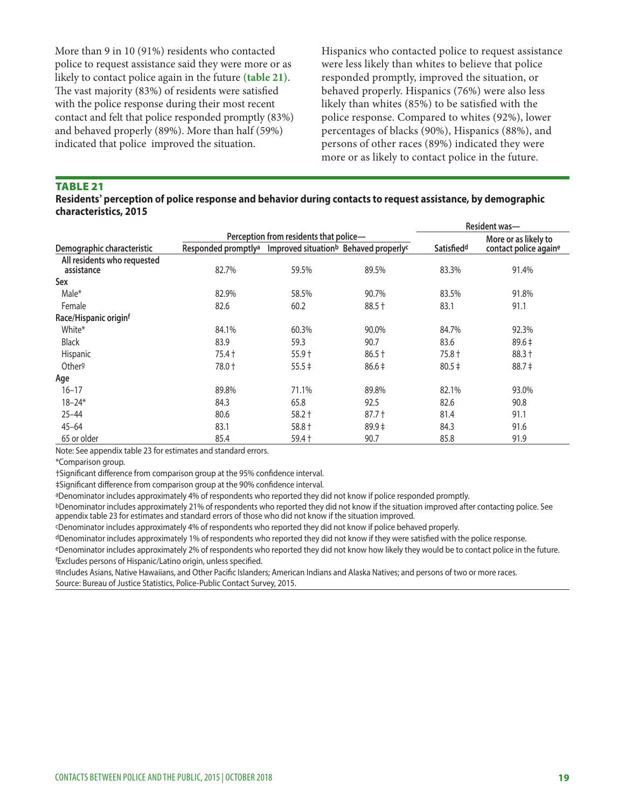More than 9 in 10 (91%) residents who contacted police to request assistance said they were more or as likely to contact police again in the future **(table 21)**. The vast majority (83%) of residents were satisfied with the police response during their most recent contact and felt that police responded promptly (83%) and behaved properly (89%). More than half (59%) indicated that police improved the situation.

Hispanics who contacted police to request assistance were less likely than whites to believe that police responded promptly, improved the situation, or behaved properly. Hispanics (76%) were also less likely than whites (85%) to be satisfed with the police response. Compared to whites (92%), lower percentages of blacks (90%), Hispanics (88%), and persons of other races (89%) indicated they were more or as likely to contact police in the future.

#### TABLE 21

#### **Residents' perception of police response and behavior during contacts to request assistance, by demographic characteristics, 2015**

|                                           |                                 |                                                               |            |                        | Resident was-         |
|-------------------------------------------|---------------------------------|---------------------------------------------------------------|------------|------------------------|-----------------------|
|                                           |                                 | Perception from residents that police-                        |            | More or as likely to   |                       |
| Demographic characteristic                | Responded promptly <sup>a</sup> | Improved situation <sup>b</sup> Behaved properly <sup>c</sup> |            | Satisfied <sup>d</sup> | contact police againe |
| All residents who requested<br>assistance | 82.7%                           | 59.5%                                                         | 89.5%      | 83.3%                  | 91.4%                 |
| Sex                                       |                                 |                                                               |            |                        |                       |
| Male*                                     | 82.9%                           | 58.5%                                                         | 90.7%      | 83.5%                  | 91.8%                 |
| Female                                    | 82.6                            | 60.2                                                          | 88.5 +     | 83.1                   | 91.1                  |
| Race/Hispanic originf                     |                                 |                                                               |            |                        |                       |
| White*                                    | 84.1%                           | 60.3%                                                         | 90.0%      | 84.7%                  | 92.3%                 |
| <b>Black</b>                              | 83.9                            | 59.3                                                          | 90.7       | 83.6                   | $89.6 \pm$            |
| Hispanic                                  | 75.4 +                          | $55.9 +$                                                      | $86.5 +$   | 75.8 +                 | $88.3 +$              |
| Other <sup>g</sup>                        | 78.0 +                          | $55.5 \pm$                                                    | $86.6 \pm$ | $80.5 \pm$             | $88.7 \pm$            |
| Age                                       |                                 |                                                               |            |                        |                       |
| $16 - 17$                                 | 89.8%                           | 71.1%                                                         | 89.8%      | 82.1%                  | 93.0%                 |
| $18 - 24*$                                | 84.3                            | 65.8                                                          | 92.5       | 82.6                   | 90.8                  |
| $25 - 44$                                 | 80.6                            | $58.2 +$                                                      | $87.7 +$   | 81.4                   | 91.1                  |
| $45 - 64$                                 | 83.1                            | 58.8 +                                                        | $89.9 \pm$ | 84.3                   | 91.6                  |
| 65 or older                               | 85.4                            | 59.4 +                                                        | 90.7       | 85.8                   | 91.9                  |
|                                           |                                 |                                                               |            |                        |                       |

Note: See appendix table 23 for estimates and standard errors.

\*Comparison group.

†Signifcant diference from comparison group at the 95% confdence interval.

‡Signifcant diference from comparison group at the 90% confdence interval.

aDenominator includes approximately 4% of respondents who reported they did not know if police responded promptly.

bDenominator includes approximately 21% of respondents who reported they did not know if the situation improved after contacting police. See appendix table 23 for estimates and standard errors of those who did not know if the situation improved.

cDenominator includes approximately 4% of respondents who reported they did not know if police behaved properly.

dDenominator includes approximately 1% of respondents who reported they did not know if they were satisfed with the police response. eDenominator includes approximately 2% of respondents who reported they did not know how likely they would be to contact police in the future.

f Excludes persons of Hispanic/Latino origin, unless specifed.

gIncludes Asians, Native Hawaiians, and Other Pacific Islanders; American Indians and Alaska Natives; and persons of two or more races. Source: Bureau of Justice Statistics, Police-Public Contact Survey, 2015.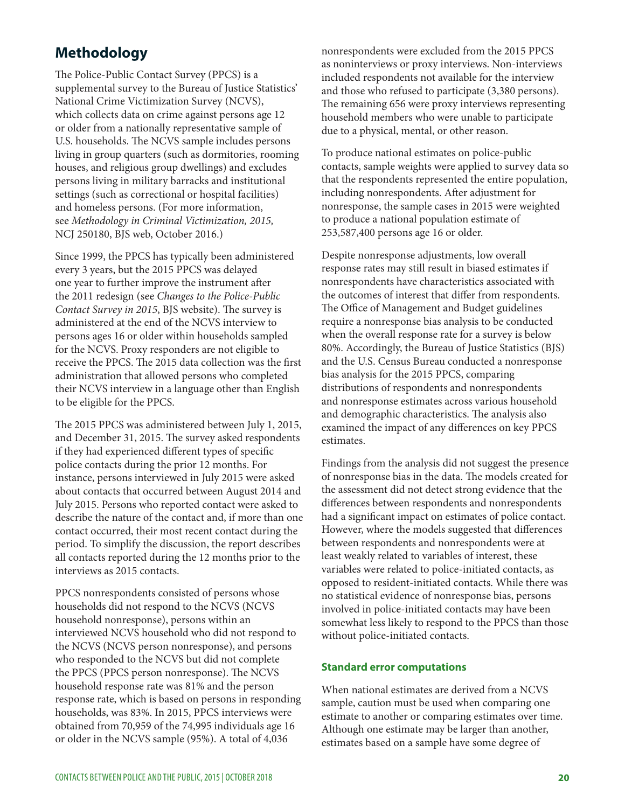# **Methodology**

The Police-Public Contact Survey (PPCS) is a supplemental survey to the Bureau of Justice Statistics' National Crime Victimization Survey (NCVS), which collects data on crime against persons age 12 or older from a nationally representative sample of U.S. households. The NCVS sample includes persons living in group quarters (such as dormitories, rooming houses, and religious group dwellings) and excludes persons living in military barracks and institutional settings (such as correctional or hospital facilities) and homeless persons. (For more information, see *Methodology in Criminal Victimization, 2015,*  NCJ 250180, BJS web, October 2016.)

Since 1999, the PPCS has typically been administered every 3 years, but the 2015 PPCS was delayed one year to further improve the instrument afer the 2011 redesign (see *Changes to the Police-Public Contact Survey in 2015*, BJS website). The survey is administered at the end of the NCVS interview to persons ages 16 or older within households sampled for the NCVS. Proxy responders are not eligible to receive the PPCS. The 2015 data collection was the first administration that allowed persons who completed their NCVS interview in a language other than English to be eligible for the PPCS.

The 2015 PPCS was administered between July 1, 2015, and December 31, 2015. The survey asked respondents if they had experienced diferent types of specifc police contacts during the prior 12 months. For instance, persons interviewed in July 2015 were asked about contacts that occurred between August 2014 and July 2015. Persons who reported contact were asked to describe the nature of the contact and, if more than one contact occurred, their most recent contact during the period. To simplify the discussion, the report describes all contacts reported during the 12 months prior to the interviews as 2015 contacts.

PPCS nonrespondents consisted of persons whose households did not respond to the NCVS (NCVS household nonresponse), persons within an interviewed NCVS household who did not respond to the NCVS (NCVS person nonresponse), and persons who responded to the NCVS but did not complete the PPCS (PPCS person nonresponse). The NCVS household response rate was 81% and the person response rate, which is based on persons in responding households, was 83%. In 2015, PPCS interviews were obtained from 70,959 of the 74,995 individuals age 16 or older in the NCVS sample (95%). A total of 4,036

nonrespondents were excluded from the 2015 PPCS as noninterviews or proxy interviews. Non-interviews included respondents not available for the interview and those who refused to participate (3,380 persons). The remaining 656 were proxy interviews representing household members who were unable to participate due to a physical, mental, or other reason.

To produce national estimates on police-public contacts, sample weights were applied to survey data so that the respondents represented the entire population, including nonrespondents. After adjustment for nonresponse, the sample cases in 2015 were weighted to produce a national population estimate of 253,587,400 persons age 16 or older.

Despite nonresponse adjustments, low overall response rates may still result in biased estimates if nonrespondents have characteristics associated with the outcomes of interest that difer from respondents. The Office of Management and Budget guidelines require a nonresponse bias analysis to be conducted when the overall response rate for a survey is below 80%. Accordingly, the Bureau of Justice Statistics (BJS) and the U.S. Census Bureau conducted a nonresponse bias analysis for the 2015 PPCS, comparing distributions of respondents and nonrespondents and nonresponse estimates across various household and demographic characteristics. The analysis also examined the impact of any diferences on key PPCS estimates.

Findings from the analysis did not suggest the presence of nonresponse bias in the data. The models created for the assessment did not detect strong evidence that the diferences between respondents and nonrespondents had a signifcant impact on estimates of police contact. However, where the models suggested that diferences between respondents and nonrespondents were at least weakly related to variables of interest, these variables were related to police-initiated contacts, as opposed to resident-initiated contacts. While there was no statistical evidence of nonresponse bias, persons involved in police-initiated contacts may have been somewhat less likely to respond to the PPCS than those without police-initiated contacts.

#### **Standard error computations**

When national estimates are derived from a NCVS sample, caution must be used when comparing one estimate to another or comparing estimates over time. Although one estimate may be larger than another, estimates based on a sample have some degree of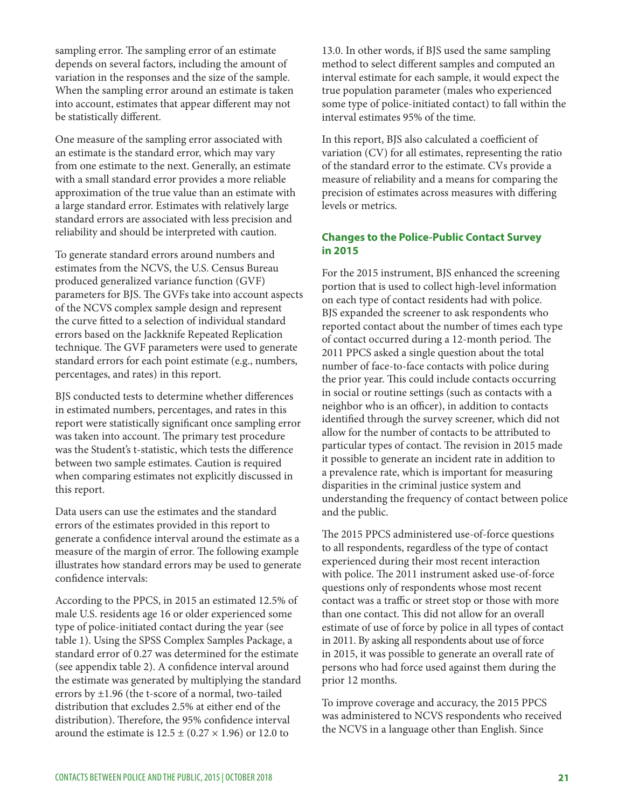sampling error. The sampling error of an estimate depends on several factors, including the amount of variation in the responses and the size of the sample. When the sampling error around an estimate is taken into account, estimates that appear diferent may not be statistically diferent.

One measure of the sampling error associated with an estimate is the standard error, which may vary from one estimate to the next. Generally, an estimate with a small standard error provides a more reliable approximation of the true value than an estimate with a large standard error. Estimates with relatively large standard errors are associated with less precision and reliability and should be interpreted with caution.

To generate standard errors around numbers and estimates from the NCVS, the U.S. Census Bureau produced generalized variance function (GVF) parameters for BJS. The GVFs take into account aspects of the NCVS complex sample design and represent the curve ftted to a selection of individual standard errors based on the Jackknife Repeated Replication technique. The GVF parameters were used to generate standard errors for each point estimate (e.g., numbers, percentages, and rates) in this report.

BJS conducted tests to determine whether diferences in estimated numbers, percentages, and rates in this report were statistically signifcant once sampling error was taken into account. The primary test procedure was the Student's t-statistic, which tests the diference between two sample estimates. Caution is required when comparing estimates not explicitly discussed in this report.

Data users can use the estimates and the standard errors of the estimates provided in this report to generate a confdence interval around the estimate as a measure of the margin of error. The following example illustrates how standard errors may be used to generate confdence intervals:

According to the PPCS, in 2015 an estimated 12.5% of male U.S. residents age 16 or older experienced some type of police-initiated contact during the year (see table 1). Using the SPSS Complex Samples Package, a standard error of 0.27 was determined for the estimate (see appendix table 2). A confdence interval around the estimate was generated by multiplying the standard errors by ±1.96 (the t-score of a normal, two-tailed distribution that excludes 2.5% at either end of the distribution). Therefore, the 95% confidence interval around the estimate is  $12.5 \pm (0.27 \times 1.96)$  or 12.0 to

13.0. In other words, if BJS used the same sampling method to select diferent samples and computed an interval estimate for each sample, it would expect the true population parameter (males who experienced some type of police-initiated contact) to fall within the interval estimates 95% of the time.

In this report, BJS also calculated a coefficient of variation (CV) for all estimates, representing the ratio of the standard error to the estimate. CVs provide a measure of reliability and a means for comparing the precision of estimates across measures with difering levels or metrics.

#### **Changes to the Police-Public Contact Survey in 2015**

For the 2015 instrument, BJS enhanced the screening portion that is used to collect high-level information on each type of contact residents had with police. BJS expanded the screener to ask respondents who reported contact about the number of times each type of contact occurred during a 12-month period. The 2011 PPCS asked a single question about the total number of face-to-face contacts with police during the prior year. This could include contacts occurring in social or routine settings (such as contacts with a neighbor who is an officer), in addition to contacts identifed through the survey screener, which did not allow for the number of contacts to be attributed to particular types of contact. The revision in 2015 made it possible to generate an incident rate in addition to a prevalence rate, which is important for measuring disparities in the criminal justice system and understanding the frequency of contact between police and the public.

The 2015 PPCS administered use-of-force questions to all respondents, regardless of the type of contact experienced during their most recent interaction with police. The 2011 instrument asked use-of-force questions only of respondents whose most recent contact was a traffic or street stop or those with more than one contact. This did not allow for an overall estimate of use of force by police in all types of contact in 2011. By asking all respondents about use of force in 2015, it was possible to generate an overall rate of persons who had force used against them during the prior 12 months.

To improve coverage and accuracy, the 2015 PPCS was administered to NCVS respondents who received the NCVS in a language other than English. Since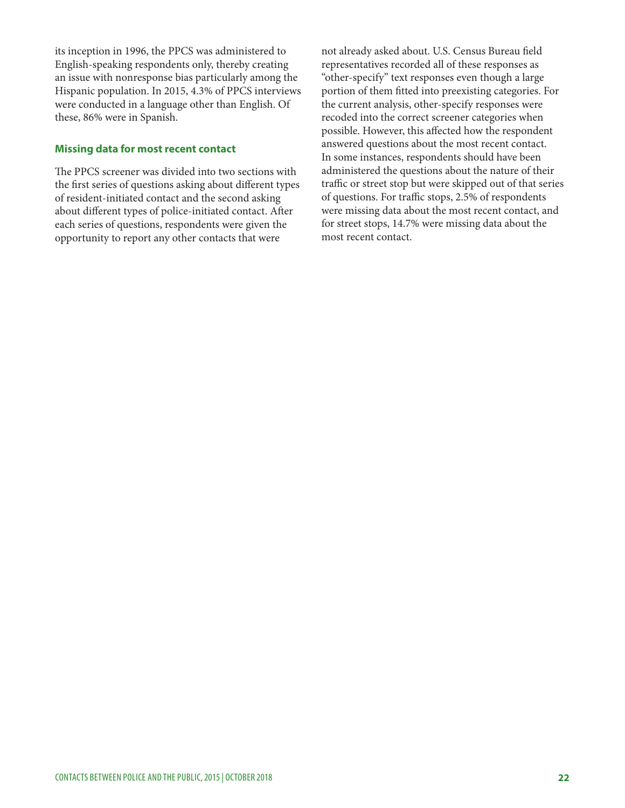its inception in 1996, the PPCS was administered to English-speaking respondents only, thereby creating an issue with nonresponse bias particularly among the Hispanic population. In 2015, 4.3% of PPCS interviews were conducted in a language other than English. Of these, 86% were in Spanish.

#### **Missing data for most recent contact**

The PPCS screener was divided into two sections with the frst series of questions asking about diferent types of resident-initiated contact and the second asking about diferent types of police-initiated contact. Afer each series of questions, respondents were given the opportunity to report any other contacts that were

not already asked about. U.S. Census Bureau feld representatives recorded all of these responses as "other-specify" text responses even though a large portion of them ftted into preexisting categories. For the current analysis, other-specify responses were recoded into the correct screener categories when possible. However, this afected how the respondent answered questions about the most recent contact. In some instances, respondents should have been administered the questions about the nature of their traffic or street stop but were skipped out of that series of questions. For traffic stops, 2.5% of respondents were missing data about the most recent contact, and for street stops, 14.7% were missing data about the most recent contact.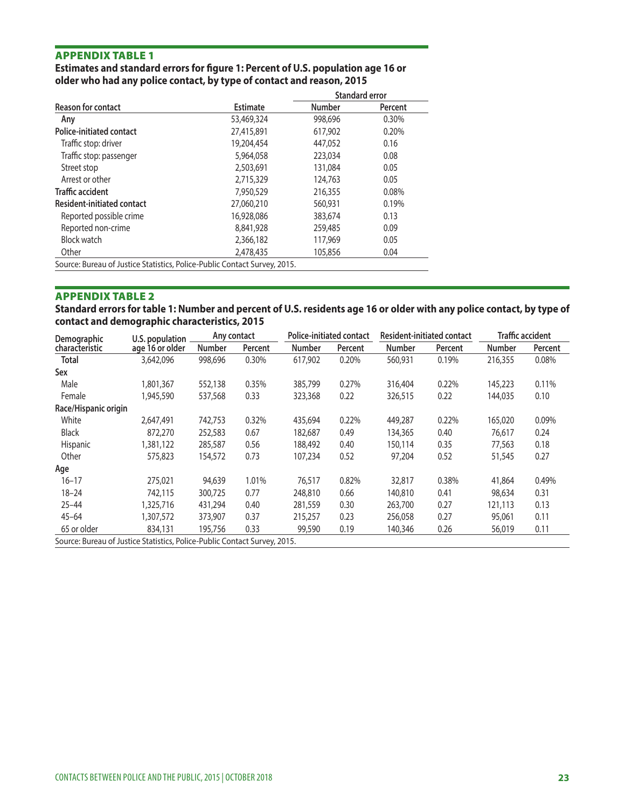#### **Estimates and standard errors for fgure 1: Percent of U.S. population age 16 or older who had any police contact, by type of contact and reason, 2015**

| <b>Estimate</b><br>53,469,324<br>27,415,891<br>19,204,454 | <b>Number</b><br>998,696<br>617,902<br>447,052 | Percent<br>0.30%<br>0.20%                                                 |
|-----------------------------------------------------------|------------------------------------------------|---------------------------------------------------------------------------|
|                                                           |                                                |                                                                           |
|                                                           |                                                |                                                                           |
|                                                           |                                                |                                                                           |
|                                                           |                                                | 0.16                                                                      |
| 5,964,058                                                 | 223,034                                        | 0.08                                                                      |
| 2,503,691                                                 | 131,084                                        | 0.05                                                                      |
| 2,715,329                                                 | 124,763                                        | 0.05                                                                      |
| 7,950,529                                                 | 216,355                                        | 0.08%                                                                     |
| 27,060,210                                                | 560,931                                        | 0.19%                                                                     |
| 16,928,086                                                | 383,674                                        | 0.13                                                                      |
| 8,841,928                                                 | 259,485                                        | 0.09                                                                      |
| 2,366,182                                                 | 117,969                                        | 0.05                                                                      |
| 2,478,435                                                 | 105,856                                        | 0.04                                                                      |
|                                                           |                                                | Source: Bureau of Justice Statistics, Police-Public Contact Survey, 2015. |

Source: Bureau of Justice Statistics, Police-Public Contact Survey, 2015.

#### APPENDIX TABLE 2

**Standard errors for table 1: Number and percent of U.S. residents age 16 or older with any police contact, by type of contact and demographic characteristics, 2015** 

| Demographic                                                               | U.S. population | Any contact   |         |               | <b>Police-initiated contact</b> |               | <b>Resident-initiated contact</b> |               | <b>Traffic accident</b> |  |
|---------------------------------------------------------------------------|-----------------|---------------|---------|---------------|---------------------------------|---------------|-----------------------------------|---------------|-------------------------|--|
| characteristic                                                            | age 16 or older | <b>Number</b> | Percent | <b>Number</b> | Percent                         | <b>Number</b> | Percent                           | <b>Number</b> | Percent                 |  |
| Total                                                                     | 3,642,096       | 998,696       | 0.30%   | 617,902       | 0.20%                           | 560,931       | 0.19%                             | 216,355       | 0.08%                   |  |
| Sex                                                                       |                 |               |         |               |                                 |               |                                   |               |                         |  |
| Male                                                                      | 1,801,367       | 552,138       | 0.35%   | 385,799       | 0.27%                           | 316,404       | 0.22%                             | 145,223       | 0.11%                   |  |
| Female                                                                    | 1,945,590       | 537,568       | 0.33    | 323,368       | 0.22                            | 326,515       | 0.22                              | 144,035       | 0.10                    |  |
| Race/Hispanic origin                                                      |                 |               |         |               |                                 |               |                                   |               |                         |  |
| White                                                                     | 2,647,491       | 742,753       | 0.32%   | 435,694       | 0.22%                           | 449,287       | 0.22%                             | 165,020       | 0.09%                   |  |
| <b>Black</b>                                                              | 872,270         | 252,583       | 0.67    | 182,687       | 0.49                            | 134,365       | 0.40                              | 76,617        | 0.24                    |  |
| Hispanic                                                                  | 1,381,122       | 285,587       | 0.56    | 188,492       | 0.40                            | 150,114       | 0.35                              | 77,563        | 0.18                    |  |
| Other                                                                     | 575,823         | 154,572       | 0.73    | 107,234       | 0.52                            | 97,204        | 0.52                              | 51,545        | 0.27                    |  |
| Age                                                                       |                 |               |         |               |                                 |               |                                   |               |                         |  |
| $16 - 17$                                                                 | 275,021         | 94,639        | 1.01%   | 76,517        | 0.82%                           | 32,817        | 0.38%                             | 41,864        | 0.49%                   |  |
| $18 - 24$                                                                 | 742,115         | 300,725       | 0.77    | 248,810       | 0.66                            | 140,810       | 0.41                              | 98,634        | 0.31                    |  |
| $25 - 44$                                                                 | 1,325,716       | 431,294       | 0.40    | 281,559       | 0.30                            | 263,700       | 0.27                              | 121,113       | 0.13                    |  |
| $45 - 64$                                                                 | 1,307,572       | 373,907       | 0.37    | 215,257       | 0.23                            | 256,058       | 0.27                              | 95,061        | 0.11                    |  |
| 65 or older                                                               | 834,131         | 195,756       | 0.33    | 99,590        | 0.19                            | 140,346       | 0.26                              | 56,019        | 0.11                    |  |
| Source: Bureau of Justice Statistics, Police-Public Contact Survey, 2015. |                 |               |         |               |                                 |               |                                   |               |                         |  |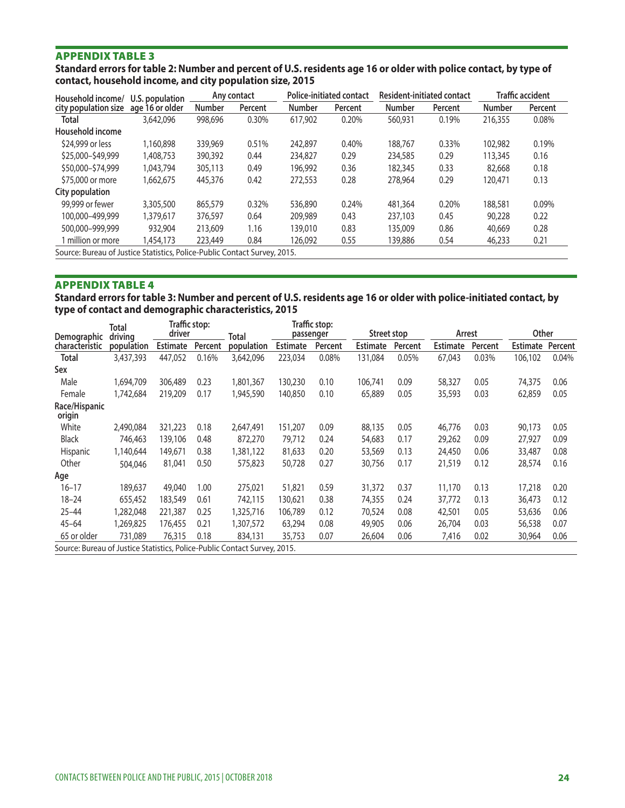**Standard errors for table 2: Number and percent of U.S. residents age 16 or older with police contact, by type of contact, household income, and city population size, 2015** 

| Household income/                                                         | U.S. population |               | <b>Police-initiated contact</b><br>Any contact |               |         |               | <b>Resident-initiated contact</b> | <b>Traffic accident</b> |         |
|---------------------------------------------------------------------------|-----------------|---------------|------------------------------------------------|---------------|---------|---------------|-----------------------------------|-------------------------|---------|
| city population size                                                      | age 16 or older | <b>Number</b> | Percent                                        | <b>Number</b> | Percent | <b>Number</b> | Percent                           | <b>Number</b>           | Percent |
| <b>Total</b>                                                              | 3,642,096       | 998,696       | 0.30%                                          | 617.902       | 0.20%   | 560,931       | 0.19%                             | 216,355                 | 0.08%   |
| Household income                                                          |                 |               |                                                |               |         |               |                                   |                         |         |
| \$24,999 or less                                                          | 1,160,898       | 339,969       | 0.51%                                          | 242,897       | 0.40%   | 188,767       | 0.33%                             | 102,982                 | 0.19%   |
| \$25,000-\$49,999                                                         | 1,408,753       | 390,392       | 0.44                                           | 234,827       | 0.29    | 234,585       | 0.29                              | 113,345                 | 0.16    |
| \$50,000-\$74,999                                                         | 1.043.794       | 305,113       | 0.49                                           | 196.992       | 0.36    | 182,345       | 0.33                              | 82,668                  | 0.18    |
| \$75,000 or more                                                          | 1.662.675       | 445,376       | 0.42                                           | 272,553       | 0.28    | 278,964       | 0.29                              | 120,471                 | 0.13    |
| City population                                                           |                 |               |                                                |               |         |               |                                   |                         |         |
| 99,999 or fewer                                                           | 3,305,500       | 865,579       | 0.32%                                          | 536,890       | 0.24%   | 481,364       | 0.20%                             | 188,581                 | 0.09%   |
| 100,000-499,999                                                           | 1,379,617       | 376,597       | 0.64                                           | 209,989       | 0.43    | 237,103       | 0.45                              | 90,228                  | 0.22    |
| 500,000-999,999                                                           | 932,904         | 213,609       | 1.16                                           | 139,010       | 0.83    | 135,009       | 0.86                              | 40,669                  | 0.28    |
| 1 million or more                                                         | 1.454.173       | 223,449       | 0.84                                           | 126.092       | 0.55    | 139,886       | 0.54                              | 46,233                  | 0.21    |
| Source: Bureau of Justice Statistics, Police-Public Contact Survey, 2015. |                 |               |                                                |               |         |               |                                   |                         |         |

#### APPENDIX TABLE 4

**Standard errors for table 3: Number and percent of U.S. residents age 16 or older with police-initiated contact, by type of contact and demographic characteristics, 2015** 

|                                                                           | Total      |                 | Traffic stop: |            |                 | <b>Traffic stop:</b> |                 |         |                 |         |                 |         |
|---------------------------------------------------------------------------|------------|-----------------|---------------|------------|-----------------|----------------------|-----------------|---------|-----------------|---------|-----------------|---------|
| Demographic                                                               | driving    | driver          |               | Total      | passenger       |                      | Street stop     |         | Arrest          |         | <b>Other</b>    |         |
| characteristic                                                            | population | <b>Estimate</b> | Percent       | population | <b>Estimate</b> | Percent              | <b>Estimate</b> | Percent | <b>Estimate</b> | Percent | <b>Estimate</b> | Percent |
| <b>Total</b>                                                              | 3,437,393  | 447.052         | 0.16%         | 3,642,096  | 223,034         | 0.08%                | 131,084         | 0.05%   | 67,043          | 0.03%   | 106,102         | 0.04%   |
| Sex                                                                       |            |                 |               |            |                 |                      |                 |         |                 |         |                 |         |
| Male                                                                      | 1,694,709  | 306,489         | 0.23          | 1,801,367  | 130,230         | 0.10                 | 106,741         | 0.09    | 58,327          | 0.05    | 74,375          | 0.06    |
| Female                                                                    | 1,742,684  | 219,209         | 0.17          | 1,945,590  | 140,850         | 0.10                 | 65,889          | 0.05    | 35,593          | 0.03    | 62,859          | 0.05    |
| Race/Hispanic<br>origin                                                   |            |                 |               |            |                 |                      |                 |         |                 |         |                 |         |
| White                                                                     | 2,490,084  | 321,223         | 0.18          | 2,647,491  | 151,207         | 0.09                 | 88,135          | 0.05    | 46,776          | 0.03    | 90,173          | 0.05    |
| <b>Black</b>                                                              | 746,463    | 139,106         | 0.48          | 872,270    | 79.712          | 0.24                 | 54,683          | 0.17    | 29,262          | 0.09    | 27,927          | 0.09    |
| <b>Hispanic</b>                                                           | 1,140,644  | 149,671         | 0.38          | 1,381,122  | 81,633          | 0.20                 | 53,569          | 0.13    | 24,450          | 0.06    | 33,487          | 0.08    |
| Other                                                                     | 504,046    | 81,041          | 0.50          | 575,823    | 50,728          | 0.27                 | 30,756          | 0.17    | 21,519          | 0.12    | 28,574          | 0.16    |
| Age                                                                       |            |                 |               |            |                 |                      |                 |         |                 |         |                 |         |
| $16 - 17$                                                                 | 189,637    | 49,040          | 1.00          | 275,021    | 51,821          | 0.59                 | 31,372          | 0.37    | 11,170          | 0.13    | 17,218          | 0.20    |
| $18 - 24$                                                                 | 655,452    | 183,549         | 0.61          | 742,115    | 130.621         | 0.38                 | 74,355          | 0.24    | 37,772          | 0.13    | 36,473          | 0.12    |
| $25 - 44$                                                                 | 1,282,048  | 221,387         | 0.25          | 1,325,716  | 106.789         | 0.12                 | 70,524          | 0.08    | 42,501          | 0.05    | 53,636          | 0.06    |
| $45 - 64$                                                                 | 1,269,825  | 176,455         | 0.21          | 1,307,572  | 63,294          | 0.08                 | 49,905          | 0.06    | 26,704          | 0.03    | 56,538          | 0.07    |
| 65 or older                                                               | 731,089    | 76,315          | 0.18          | 834,131    | 35,753          | 0.07                 | 26,604          | 0.06    | 7,416           | 0.02    | 30,964          | 0.06    |
| Source: Bureau of Justice Statistics, Police-Public Contact Survey, 2015. |            |                 |               |            |                 |                      |                 |         |                 |         |                 |         |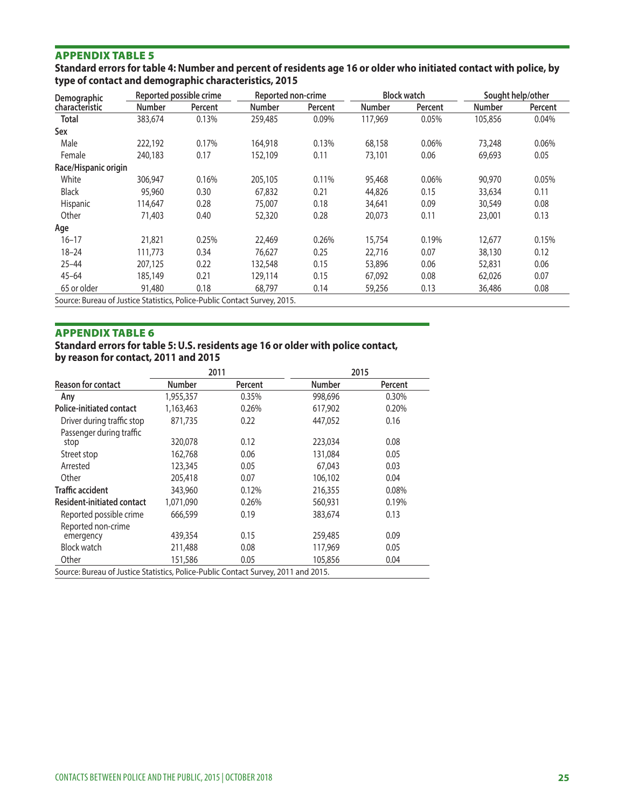**Standard errors for table 4: Number and percent of residents age 16 or older who initiated contact with police, by type of contact and demographic characteristics, 2015** 

| Demographic                                                             |               | Reported possible crime | Reported non-crime |         |               | <b>Block watch</b> | Sought help/other |         |
|-------------------------------------------------------------------------|---------------|-------------------------|--------------------|---------|---------------|--------------------|-------------------|---------|
| characteristic                                                          | <b>Number</b> | Percent                 | <b>Number</b>      | Percent | <b>Number</b> | Percent            | <b>Number</b>     | Percent |
| <b>Total</b>                                                            | 383,674       | 0.13%                   | 259,485            | 0.09%   | 117,969       | 0.05%              | 105,856           | 0.04%   |
| Sex                                                                     |               |                         |                    |         |               |                    |                   |         |
| Male                                                                    | 222,192       | 0.17%                   | 164,918            | 0.13%   | 68,158        | 0.06%              | 73,248            | 0.06%   |
| Female                                                                  | 240,183       | 0.17                    | 152,109            | 0.11    | 73,101        | 0.06               | 69,693            | 0.05    |
| Race/Hispanic origin                                                    |               |                         |                    |         |               |                    |                   |         |
| White                                                                   | 306,947       | 0.16%                   | 205,105            | 0.11%   | 95,468        | 0.06%              | 90,970            | 0.05%   |
| <b>Black</b>                                                            | 95,960        | 0.30                    | 67,832             | 0.21    | 44,826        | 0.15               | 33,634            | 0.11    |
| Hispanic                                                                | 114,647       | 0.28                    | 75,007             | 0.18    | 34,641        | 0.09               | 30,549            | 0.08    |
| Other                                                                   | 71,403        | 0.40                    | 52,320             | 0.28    | 20,073        | 0.11               | 23,001            | 0.13    |
| Age                                                                     |               |                         |                    |         |               |                    |                   |         |
| $16 - 17$                                                               | 21,821        | 0.25%                   | 22,469             | 0.26%   | 15,754        | 0.19%              | 12,677            | 0.15%   |
| $18 - 24$                                                               | 111,773       | 0.34                    | 76,627             | 0.25    | 22,716        | 0.07               | 38,130            | 0.12    |
| $25 - 44$                                                               | 207,125       | 0.22                    | 132,548            | 0.15    | 53,896        | 0.06               | 52,831            | 0.06    |
| $45 - 64$                                                               | 185,149       | 0.21                    | 129,114            | 0.15    | 67,092        | 0.08               | 62,026            | 0.07    |
| 65 or older                                                             | 91,480        | 0.18                    | 68.797             | 0.14    | 59,256        | 0.13               | 36,486            | 0.08    |
| SOUICE: BUISALL Of Justice Statistics Police-Public Contact Survey 2015 |               |                         |                    |         |               |                    |                   |         |

ource: Bureau of Justice Statistics, Police-Public Contact Survey,

#### APPENDIX TABLE 6

# **Standard errors for table 5: U.S. residents age 16 or older with police contact,**

**by reason for contact, 2011 and 2015** 

|                                                                                    |               | 2011    | 2015          |         |
|------------------------------------------------------------------------------------|---------------|---------|---------------|---------|
| <b>Reason for contact</b>                                                          | <b>Number</b> | Percent | <b>Number</b> | Percent |
| Any                                                                                | 1,955,357     | 0.35%   | 998,696       | 0.30%   |
| <b>Police-initiated contact</b>                                                    | 1,163,463     | 0.26%   | 617,902       | 0.20%   |
| Driver during traffic stop                                                         | 871,735       | 0.22    | 447,052       | 0.16    |
| Passenger during traffic                                                           |               |         |               |         |
| stop                                                                               | 320,078       | 0.12    | 223,034       | 0.08    |
| Street stop                                                                        | 162,768       | 0.06    | 131,084       | 0.05    |
| Arrested                                                                           | 123,345       | 0.05    | 67,043        | 0.03    |
| Other                                                                              | 205,418       | 0.07    | 106,102       | 0.04    |
| <b>Traffic accident</b>                                                            | 343,960       | 0.12%   | 216,355       | 0.08%   |
| <b>Resident-initiated contact</b>                                                  | 1,071,090     | 0.26%   | 560,931       | 0.19%   |
| Reported possible crime                                                            | 666,599       | 0.19    | 383,674       | 0.13    |
| Reported non-crime                                                                 |               |         |               |         |
| emergency                                                                          | 439,354       | 0.15    | 259,485       | 0.09    |
| <b>Block watch</b>                                                                 | 211,488       | 0.08    | 117,969       | 0.05    |
| Other                                                                              | 151,586       | 0.05    | 105,856       | 0.04    |
| Source: Bureau of Justice Statistics, Police-Public Contact Survey, 2011 and 2015. |               |         |               |         |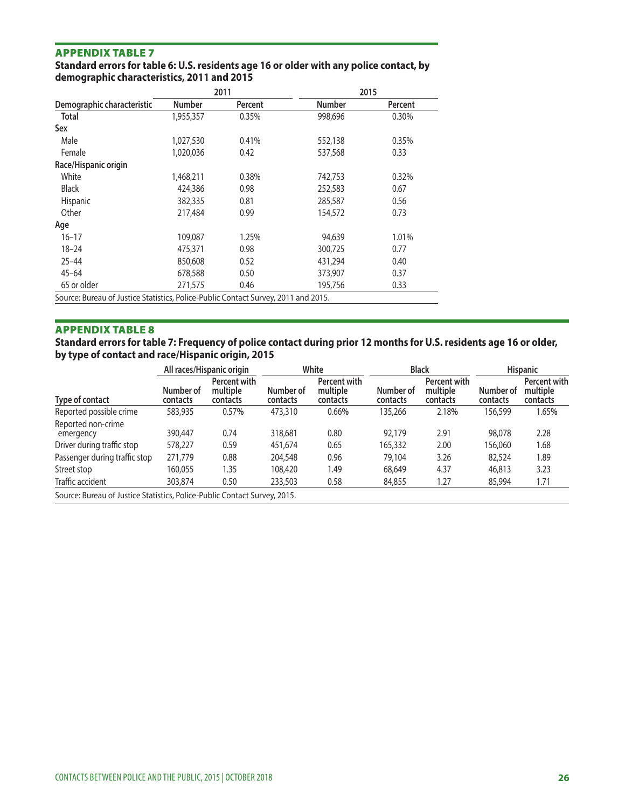#### **Standard errors for table 6: U.S. residents age 16 or older with any police contact, by demographic characteristics, 2011 and 2015**

|                                                                                    |               | 2011    |               | 2015    |
|------------------------------------------------------------------------------------|---------------|---------|---------------|---------|
| Demographic characteristic                                                         | <b>Number</b> | Percent | <b>Number</b> | Percent |
| <b>Total</b>                                                                       | 1,955,357     | 0.35%   | 998,696       | 0.30%   |
| Sex                                                                                |               |         |               |         |
| Male                                                                               | 1,027,530     | 0.41%   | 552,138       | 0.35%   |
| Female                                                                             | 1,020,036     | 0.42    | 537,568       | 0.33    |
| Race/Hispanic origin                                                               |               |         |               |         |
| White                                                                              | 1,468,211     | 0.38%   | 742,753       | 0.32%   |
| <b>Black</b>                                                                       | 424,386       | 0.98    | 252,583       | 0.67    |
| <b>Hispanic</b>                                                                    | 382,335       | 0.81    | 285,587       | 0.56    |
| Other                                                                              | 217,484       | 0.99    | 154,572       | 0.73    |
| Age                                                                                |               |         |               |         |
| $16 - 17$                                                                          | 109,087       | 1.25%   | 94,639        | 1.01%   |
| $18 - 24$                                                                          | 475,371       | 0.98    | 300,725       | 0.77    |
| $25 - 44$                                                                          | 850,608       | 0.52    | 431,294       | 0.40    |
| $45 - 64$                                                                          | 678,588       | 0.50    | 373,907       | 0.37    |
| 65 or older                                                                        | 271,575       | 0.46    | 195.756       | 0.33    |
| Source: Bureau of Justice Statistics, Police-Public Contact Survey, 2011 and 2015. |               |         |               |         |

APPENDIX TABLE 8

**Standard errors for table 7: Frequency of police contact during prior 12 months for U.S. residents age 16 or older, by type of contact and race/Hispanic origin, 2015** 

|                                                                           | All races/Hispanic origin |                                      | White                 |                                      | <b>Black</b>          |                                      | <b>Hispanic</b>       |                                      |
|---------------------------------------------------------------------------|---------------------------|--------------------------------------|-----------------------|--------------------------------------|-----------------------|--------------------------------------|-----------------------|--------------------------------------|
| Type of contact                                                           | Number of<br>contacts     | Percent with<br>multiple<br>contacts | Number of<br>contacts | Percent with<br>multiple<br>contacts | Number of<br>contacts | Percent with<br>multiple<br>contacts | Number of<br>contacts | Percent with<br>multiple<br>contacts |
| Reported possible crime                                                   | 583,935                   | 0.57%                                | 473,310               | 0.66%                                | 135,266               | 2.18%                                | 156,599               | 1.65%                                |
| Reported non-crime<br>emergency                                           | 390,447                   | 0.74                                 | 318,681               | 0.80                                 | 92,179                | 2.91                                 | 98,078                | 2.28                                 |
| Driver during traffic stop                                                | 578,227                   | 0.59                                 | 451.674               | 0.65                                 | 165,332               | 2.00                                 | 156,060               | 1.68                                 |
| Passenger during traffic stop                                             | 271,779                   | 0.88                                 | 204,548               | 0.96                                 | 79,104                | 3.26                                 | 82,524                | 1.89                                 |
| Street stop                                                               | 160.055                   | 1.35                                 | 108,420               | 1.49                                 | 68,649                | 4.37                                 | 46,813                | 3.23                                 |
| Traffic accident                                                          | 303,874                   | 0.50                                 | 233,503               | 0.58                                 | 84,855                | 1.27                                 | 85,994                | 1.71                                 |
| Source: Bureau of Justice Statistics, Police-Public Contact Survey, 2015. |                           |                                      |                       |                                      |                       |                                      |                       |                                      |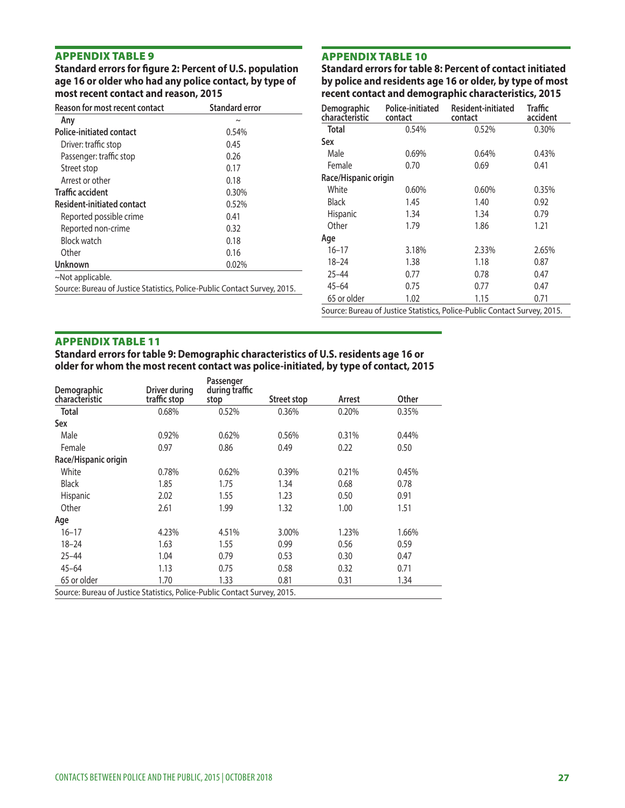APPENDIX TABLE 9<br>
Standard errors for figure 2: Percent of U.S. population Standard errors for table 8: Percent of contact initiated Standard errors for figure 2: Percent of U.S. population Standard errors for table 8: Percent of contact initiated age 16 or older, by type of most sage 16 or older, by type of most **age 16 or older who had any police contact, by type of most recent contact and reason, 2015** 

recent contact and demographic characteristics, 2015

| Reason for most recent contact                                            | <b>Standard error</b> | Demographic          | Police-initiated | Resident-initiated | Traffic  |
|---------------------------------------------------------------------------|-----------------------|----------------------|------------------|--------------------|----------|
| Any                                                                       | $\tilde{}$            | characteristic       | contact          | contact            | accident |
| <b>Police-initiated contact</b>                                           | 0.54%                 | Total                | 0.54%            | 0.52%              | 0.30%    |
| Driver: traffic stop                                                      | 0.45                  | Sex                  |                  |                    |          |
| Passenger: traffic stop                                                   | 0.26                  | Male                 | 0.69%            | 0.64%              | 0.43%    |
| Street stop                                                               | 0.17                  | Female               | 0.70             | 0.69               | 0.41     |
| Arrest or other                                                           | 0.18                  | Race/Hispanic origin |                  |                    |          |
| <b>Traffic accident</b>                                                   | 0.30%                 | White                | 0.60%            | 0.60%              | 0.35%    |
| Resident-initiated contact                                                | 0.52%                 | <b>Black</b>         | 1.45             | 1.40               | 0.92     |
| Reported possible crime                                                   | 0.41                  | Hispanic             | 1.34             | 1.34               | 0.79     |
| Reported non-crime                                                        | 0.32                  | Other                | 1.79             | 1.86               | 1.21     |
| Block watch                                                               | 0.18                  | Age                  |                  |                    |          |
| Other                                                                     | 0.16                  | $16 - 17$            | 3.18%            | 2.33%              | 2.65%    |
| <b>Unknown</b>                                                            | 0.02%                 | $18 - 24$            | 1.38             | 1.18               | 0.87     |
| ~Not applicable.                                                          |                       | $25 - 44$            | 0.77             | 0.78               | 0.47     |
| Source: Bureau of Justice Statistics, Police-Public Contact Survey, 2015. |                       | $45 - 64$            | 0.75             | 0.77               | 0.47     |
|                                                                           |                       | 65 or older          | 102              | 115                | 0.71     |

| Demographic<br>characteristic | Police-initiated<br>contact | Resident-initiated<br>contact                                             | Traffic<br>accident |
|-------------------------------|-----------------------------|---------------------------------------------------------------------------|---------------------|
| <b>Total</b>                  | 0.54%                       | 0.52%                                                                     | 0.30%               |
| Sex                           |                             |                                                                           |                     |
| Male                          | 0.69%                       | 0.64%                                                                     | 0.43%               |
| Female                        | 0.70                        | 0.69                                                                      | 0.41                |
| Race/Hispanic origin          |                             |                                                                           |                     |
| White                         | 0.60%                       | 0.60%                                                                     | 0.35%               |
| <b>Black</b>                  | 1.45                        | 1.40                                                                      | 0.92                |
| Hispanic                      | 1.34                        | 1.34                                                                      | 0.79                |
| Other                         | 1.79                        | 1.86                                                                      | 1.21                |
| Age                           |                             |                                                                           |                     |
| $16 - 17$                     | 3.18%                       | 2.33%                                                                     | 2.65%               |
| $18 - 24$                     | 1.38                        | 1.18                                                                      | 0.87                |
| $25 - 44$                     | 0.77                        | 0.78                                                                      | 0.47                |
| $45 - 64$                     | 0.75                        | 0.77                                                                      | 0.47                |
| 65 or older                   | 1.02                        | 1.15                                                                      | 0.71                |
|                               |                             | Source: Bureau of Justice Statistics, Police-Public Contact Survey, 2015. |                     |

#### APPENDIX TABLE 11

**Standard errors for table 9: Demographic characteristics of U.S. residents age 16 or older for whom the most recent contact was police-initiated, by type of contact, 2015** 

| Demographic                                                               | Driver during | Passenger<br>during traffic |             |        |              |
|---------------------------------------------------------------------------|---------------|-----------------------------|-------------|--------|--------------|
| characteristic                                                            | traffic stop  | stop                        | Street stop | Arrest | <b>Other</b> |
| <b>Total</b>                                                              | 0.68%         | 0.52%                       | 0.36%       | 0.20%  | 0.35%        |
| Sex                                                                       |               |                             |             |        |              |
| Male                                                                      | 0.92%         | 0.62%                       | 0.56%       | 0.31%  | 0.44%        |
| Female                                                                    | 0.97          | 0.86                        | 0.49        | 0.22   | 0.50         |
| Race/Hispanic origin                                                      |               |                             |             |        |              |
| White                                                                     | 0.78%         | 0.62%                       | 0.39%       | 0.21%  | 0.45%        |
| <b>Black</b>                                                              | 1.85          | 1.75                        | 1.34        | 0.68   | 0.78         |
| Hispanic                                                                  | 2.02          | 1.55                        | 1.23        | 0.50   | 0.91         |
| Other                                                                     | 2.61          | 1.99                        | 1.32        | 1.00   | 1.51         |
| Age                                                                       |               |                             |             |        |              |
| $16 - 17$                                                                 | 4.23%         | 4.51%                       | 3.00%       | 1.23%  | 1.66%        |
| $18 - 24$                                                                 | 1.63          | 1.55                        | 0.99        | 0.56   | 0.59         |
| $25 - 44$                                                                 | 1.04          | 0.79                        | 0.53        | 0.30   | 0.47         |
| $45 - 64$                                                                 | 1.13          | 0.75                        | 0.58        | 0.32   | 0.71         |
| 65 or older                                                               | 1.70          | 1.33                        | 0.81        | 0.31   | 1.34         |
| Source: Bureau of Justice Statistics, Police-Public Contact Survey, 2015. |               |                             |             |        |              |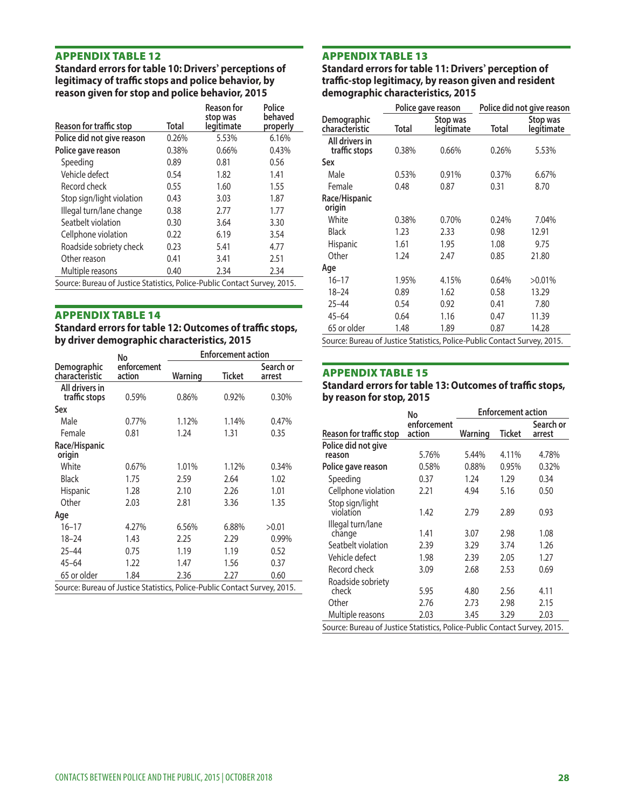**Standard errors for table 10: Drivers' perceptions of legitimacy of traffic stops and police behavior, by** reason given for stop and police behavior, 2015

|                                                                           |       | <b>Reason for</b>      | Police              |                               | Police gave reason |                        | Police did not give rea |                     |
|---------------------------------------------------------------------------|-------|------------------------|---------------------|-------------------------------|--------------------|------------------------|-------------------------|---------------------|
| Reason for traffic stop                                                   | Total | stop was<br>legitimate | behaved<br>properly | Demographic<br>characteristic | Total              | Stop was<br>legitimate | <b>Total</b>            | Stop wa<br>legitima |
| Police did not give reason                                                | 0.26% | 5.53%                  | 6.16%               | All drivers in                |                    |                        |                         |                     |
| Police gave reason                                                        | 0.38% | 0.66%                  | 0.43%               | traffic stops                 | 0.38%              | 0.66%                  | 0.26%                   | 5.53%               |
| Speeding                                                                  | 0.89  | 0.81                   | 0.56                | Sex                           |                    |                        |                         |                     |
| Vehicle defect                                                            | 0.54  | 1.82                   | 1.41                | Male                          | 0.53%              | 0.91%                  | 0.37%                   | 6.67%               |
| Record check                                                              | 0.55  | 1.60                   | 1.55                | Female                        | 0.48               | 0.87                   | 0.31                    | 8.70                |
| Stop sign/light violation                                                 | 0.43  | 3.03                   | 1.87                | Race/Hispanic                 |                    |                        |                         |                     |
| Illegal turn/lane change                                                  | 0.38  | 2.77                   | 1.77                | origin                        |                    |                        |                         |                     |
| Seatbelt violation                                                        | 0.30  | 3.64                   | 3.30                | White                         | 0.38%              | 0.70%                  | 0.24%                   | 7.04%               |
| Cellphone violation                                                       | 0.22  | 6.19                   | 3.54                | <b>Black</b>                  | 1.23               | 2.33                   | 0.98                    | 12.91               |
| Roadside sobriety check                                                   | 0.23  | 5.41                   | 4.77                | Hispanic                      | 1.61               | 1.95                   | 1.08                    | 9.75                |
| Other reason                                                              | 0.41  | 3.41                   | 2.51                | Other                         | 1.24               | 2.47                   | 0.85                    | 21.80               |
| Multiple reasons                                                          | 0.40  | 2.34                   | 2.34                | Age                           |                    |                        |                         |                     |
| Source: Bureau of Justice Statistics, Police-Public Contact Survey, 2015. |       |                        |                     | $16 - 17$                     | 1.95%              | 4.15%                  | 0.64%                   | $>0.01\%$           |

#### **APPENDIX TABLE 14**

|                                                                           | No                    | <b>Enforcement action</b> |               |                     |                                                                                            |             |         |                           |          |
|---------------------------------------------------------------------------|-----------------------|---------------------------|---------------|---------------------|--------------------------------------------------------------------------------------------|-------------|---------|---------------------------|----------|
| Demographic<br>characteristic                                             | enforcement<br>action | Warning                   | <b>Ticket</b> | Search or<br>arrest | <b>APPENDIX TABLE 15</b>                                                                   |             |         |                           |          |
| All drivers in<br>traffic stops                                           | 0.59%                 | 0.86%                     | 0.92%         | 0.30%               | <b>Standard errors for table 13: Outcomes of traffic stops</b><br>by reason for stop, 2015 |             |         |                           |          |
| Sex                                                                       |                       |                           |               |                     |                                                                                            | No          |         | <b>Enforcement action</b> |          |
| Male                                                                      | 0.77%                 | 1.12%                     | 1.14%         | 0.47%               |                                                                                            | enforcement |         |                           | Search o |
| Female                                                                    | 0.81                  | 1.24                      | 1.31          | 0.35                | Reason for traffic stop                                                                    | action      | Warning | Ticket                    | arrest   |
| Race/Hispanic<br>origin                                                   |                       |                           |               |                     | Police did not give<br>reason                                                              | 5.76%       | 5.44%   | 4.11%                     | 4.78%    |
| White                                                                     | 0.67%                 | 1.01%                     | 1.12%         | 0.34%               | Police gave reason                                                                         | 0.58%       | 0.88%   | 0.95%                     | 0.32%    |
| <b>Black</b>                                                              | 1.75                  | 2.59                      | 2.64          | 1.02                | Speeding                                                                                   | 0.37        | 1.24    | 1.29                      | 0.34     |
| Hispanic                                                                  | 1.28                  | 2.10                      | 2.26          | 1.01                | Cellphone violation                                                                        | 2.21        | 4.94    | 5.16                      | 0.50     |
| Other                                                                     | 2.03                  | 2.81                      | 3.36          | 1.35                | Stop sign/light                                                                            |             |         |                           |          |
| Age                                                                       |                       |                           |               |                     | violation                                                                                  | 1.42        | 2.79    | 2.89                      | 0.93     |
| $16 - 17$                                                                 | 4.27%                 | 6.56%                     | 6.88%         | >0.01               | Illegal turn/lane                                                                          |             |         |                           |          |
| $18 - 24$                                                                 | 1.43                  | 2.25                      | 2.29          | 0.99%               | change                                                                                     | 1.41        | 3.07    | 2.98                      | 1.08     |
| $25 - 44$                                                                 | 0.75                  | 1.19                      | 1.19          | 0.52                | Seatbelt violation                                                                         | 2.39        | 3.29    | 3.74                      | 1.26     |
| $45 - 64$                                                                 | 1.22                  | 1.47                      | 1.56          | 0.37                | Vehicle defect                                                                             | 1.98        | 2.39    | 2.05                      | 1.27     |
| 65 or older                                                               | 1.84                  | 2.36                      | 2.27          | 0.60                | Record check                                                                               | 3.09        | 2.68    | 2.53                      | 0.69     |
| Source: Bureau of Justice Statistics, Police-Public Contact Survey, 2015. |                       |                           |               |                     | Roadside sobriety<br>check                                                                 | 5.95        | 4.80    | 2.56                      | 4.11     |

**APPENDIX TABLE 12**<br> **APPENDIX TABLE 13**<br>
Standard errors for table 10: Drivers' perceptions of Standard errors for table 11: Drivers' perception of **legitimacy, by reason given and resident demographic characteristics, 2015** 

|                                                                           |       | <b>Reason for</b>      | Police              |                                                                           |       | Police gave reason     | Police did not give reason |                        |
|---------------------------------------------------------------------------|-------|------------------------|---------------------|---------------------------------------------------------------------------|-------|------------------------|----------------------------|------------------------|
| Reason for traffic stop                                                   | Total | stop was<br>legitimate | behaved<br>properly | Demographic<br>characteristic                                             | Total | Stop was<br>legitimate | Total                      | Stop was<br>legitimate |
| Police did not give reason                                                | 0.26% | 5.53%                  | 6.16%               | All drivers in                                                            |       |                        |                            |                        |
| Police gave reason                                                        | 0.38% | 0.66%                  | 0.43%               | traffic stops                                                             | 0.38% | 0.66%                  | 0.26%                      | 5.53%                  |
| Speeding                                                                  | 0.89  | 0.81                   | 0.56                | Sex                                                                       |       |                        |                            |                        |
| Vehicle defect                                                            | 0.54  | 1.82                   | 1.41                | Male                                                                      | 0.53% | 0.91%                  | 0.37%                      | 6.67%                  |
| Record check                                                              | 0.55  | 1.60                   | 1.55                | Female                                                                    | 0.48  | 0.87                   | 0.31                       | 8.70                   |
| Stop sign/light violation                                                 | 0.43  | 3.03                   | 1.87                | Race/Hispanic                                                             |       |                        |                            |                        |
| Illegal turn/lane change                                                  | 0.38  | 2.77                   | 1.77                | origin                                                                    |       |                        |                            |                        |
| Seatbelt violation                                                        | 0.30  | 3.64                   | 3.30                | White                                                                     | 0.38% | 0.70%                  | 0.24%                      | 7.04%                  |
| Cellphone violation                                                       | 0.22  | 6.19                   | 3.54                | <b>Black</b>                                                              | 1.23  | 2.33                   | 0.98                       | 12.91                  |
| Roadside sobriety check                                                   | 0.23  | 5.41                   | 4.77                | <b>Hispanic</b>                                                           | 1.61  | 1.95                   | 1.08                       | 9.75                   |
| Other reason                                                              | 0.41  | 3.41                   | 2.51                | Other                                                                     | 1.24  | 2.47                   | 0.85                       | 21.80                  |
| Multiple reasons                                                          | 0.40  | 2.34                   | 2.34                | Age                                                                       |       |                        |                            |                        |
| Source: Bureau of Justice Statistics, Police-Public Contact Survey, 2015. |       |                        |                     | $16 - 17$                                                                 | 1.95% | 4.15%                  | 0.64%                      | $>0.01\%$              |
|                                                                           |       |                        |                     | $18 - 24$                                                                 | 0.89  | 1.62                   | 0.58                       | 13.29                  |
|                                                                           |       |                        |                     | $25 - 44$                                                                 | 0.54  | 0.92                   | 0.41                       | 7.80                   |
| APPENDIX TABLE 14                                                         |       |                        |                     | $45 - 64$                                                                 | 0.64  | 1.16                   | 0.47                       | 11.39                  |
| Standard errors for table 12: Outcomes of traffic stops,                  |       |                        |                     | 65 or older                                                               | 1.48  | 1.89                   | 0.87                       | 14.28                  |
| by driver demographic characteristics, 2015                               |       |                        |                     | Source: Bureau of Justice Statistics, Police-Public Contact Survey, 2015. |       |                        |                            |                        |

#### **APPENDIX TABLE 15**

#### **Standard errors for table 13: Outcomes of traffic stops, by reason for stop, 2015**

| èХ                                                                       |                                       |                                       |                                       |                                        |                                                                                     | No                           |                              | <b>Enforcement action</b>    |                              |
|--------------------------------------------------------------------------|---------------------------------------|---------------------------------------|---------------------------------------|----------------------------------------|-------------------------------------------------------------------------------------|------------------------------|------------------------------|------------------------------|------------------------------|
| Male<br>Female                                                           | 0.77%<br>0.81                         | 1.12%<br>1.24                         | 1.14%<br>1.31                         | 0.47%<br>0.35                          | Reason for traffic stop                                                             | enforcement<br>action        | Warning                      | Ticket                       | Search or<br>arrest          |
| ace/Hispanic<br>rigin                                                    |                                       |                                       |                                       |                                        | Police did not give<br>reason                                                       | 5.76%                        | 5.44%                        | 4.11%                        | 4.78%                        |
| White                                                                    | 0.67%                                 | 1.01%                                 | 1.12%                                 | 0.34%                                  | Police gave reason                                                                  | 0.58%                        | 0.88%                        | 0.95%                        | 0.32%                        |
| Black                                                                    | 1.75                                  | 2.59                                  | 2.64                                  | 1.02                                   | Speeding                                                                            | 0.37                         | 1.24                         | 1.29                         | 0.34                         |
| Hispanic                                                                 | 1.28                                  | 2.10                                  | 2.26                                  | 1.01                                   | Cellphone violation                                                                 | 2.21                         | 4.94                         | 5.16                         | 0.50                         |
| Other<br>qe                                                              | 2.03                                  | 2.81                                  | 3.36                                  | 1.35                                   | Stop sign/light<br>violation                                                        | 1.42                         | 2.79                         | 2.89                         | 0.93                         |
| $16 - 17$<br>$18 - 24$<br>$25 - 44$<br>$45 - 64$<br>65 or older          | 4.27%<br>1.43<br>0.75<br>1.22<br>1.84 | 6.56%<br>2.25<br>1.19<br>1.47<br>2.36 | 6.88%<br>2.29<br>1.19<br>1.56<br>2.27 | >0.01<br>0.99%<br>0.52<br>0.37<br>0.60 | Illegal turn/lane<br>change<br>Seatbelt violation<br>Vehicle defect<br>Record check | 1.41<br>2.39<br>1.98<br>3.09 | 3.07<br>3.29<br>2.39<br>2.68 | 2.98<br>3.74<br>2.05<br>2.53 | 1.08<br>1.26<br>1.27<br>0.69 |
| ource: Bureau of Justice Statistics, Police-Public Contact Survey, 2015. |                                       |                                       |                                       |                                        | Roadside sobriety<br>check                                                          | 5.95                         | 4.80                         | 2.56                         | 4.11                         |
|                                                                          |                                       |                                       |                                       |                                        | Other<br>Multiple reasons                                                           | 2.76<br>2.03                 | 2.73<br>3.45                 | 2.98<br>3.29                 | 2.15<br>2.03                 |
|                                                                          |                                       |                                       |                                       |                                        | Source: Bureau of Justice Statistics, Police-Public Contact Survey, 2015.           |                              |                              |                              |                              |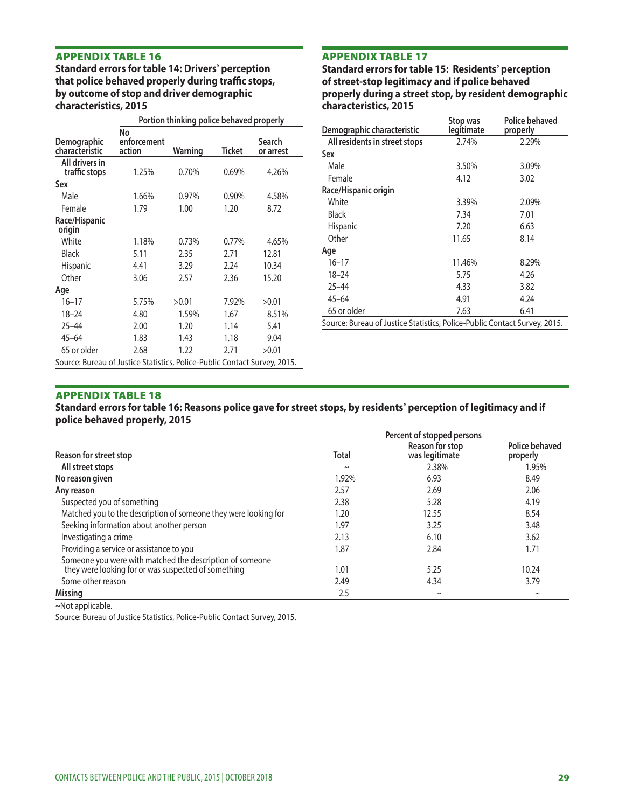**APPENDIX TABLE 16**<br> **APPENDIX TABLE 17**<br> **Standard errors for table 14: Drivers' perception** Standard errors for table that police behaved properly during traffic stops,<br>by outcome of stop and driver demographic **characteristics, 2015 characteristics, 2015** 

|                                                                           |             | Portion thinking police behaved properly |        |           | Stop was<br>Police behaved                                                |            |          |
|---------------------------------------------------------------------------|-------------|------------------------------------------|--------|-----------|---------------------------------------------------------------------------|------------|----------|
|                                                                           | No          |                                          |        |           | Demographic characteristic                                                | legitimate | properly |
| Demographic                                                               | enforcement |                                          |        | Search    | All residents in street stops                                             | 2.74%      | 2.29%    |
| characteristic                                                            | action      | Warning                                  | Ticket | or arrest | Sex                                                                       |            |          |
| All drivers in<br>traffic stops                                           | 1.25%       | 0.70%                                    | 0.69%  | 4.26%     | Male                                                                      | 3.50%      | 3.09%    |
| Sex                                                                       |             |                                          |        |           | Female                                                                    | 4.12       | 3.02     |
| Male                                                                      | 1.66%       | 0.97%                                    | 0.90%  | 4.58%     | Race/Hispanic origin                                                      |            |          |
| Female                                                                    | 1.79        | 1.00                                     |        |           | White                                                                     | 3.39%      | 2.09%    |
|                                                                           |             |                                          | 1.20   | 8.72      | <b>Black</b>                                                              | 7.34       | 7.01     |
| Race/Hispanic<br>origin                                                   |             |                                          |        |           | Hispanic                                                                  | 7.20       | 6.63     |
| White                                                                     | 1.18%       | 0.73%                                    | 0.77%  | 4.65%     | Other                                                                     | 11.65      | 8.14     |
| <b>Black</b>                                                              | 5.11        | 2.35                                     | 2.71   | 12.81     | Age                                                                       |            |          |
| Hispanic                                                                  | 4.41        | 3.29                                     | 2.24   | 10.34     | $16 - 17$                                                                 | 11.46%     | 8.29%    |
| Other                                                                     | 3.06        | 2.57                                     | 2.36   | 15.20     | $18 - 24$                                                                 | 5.75       | 4.26     |
| Age                                                                       |             |                                          |        |           | $25 - 44$                                                                 | 4.33       | 3.82     |
| $16 - 17$                                                                 | 5.75%       | >0.01                                    | 7.92%  | >0.01     | $45 - 64$                                                                 | 4.91       | 4.24     |
| $18 - 24$                                                                 | 4.80        | 1.59%                                    | 1.67   | 8.51%     | 65 or older                                                               | 7.63       | 6.41     |
| $25 - 44$                                                                 | 2.00        | 1.20                                     | 1.14   | 5.41      | Source: Bureau of Justice Statistics, Police-Public Contact Survey, 2015. |            |          |
| $45 - 64$                                                                 | 1.83        | 1.43                                     | 1.18   | 9.04      |                                                                           |            |          |
| 65 or older                                                               | 2.68        | 1.22                                     | 2.71   | >0.01     |                                                                           |            |          |
| Source: Bureau of Justice Statistics, Police-Public Contact Survey, 2015. |             |                                          |        |           |                                                                           |            |          |

**Standard errors for table 15: Residents' perception of street-stop legitimacy and if police behaved** properly during a street stop, by resident demographic

| Portion thinking police behaved properly |         |               |           |                                                                           | Stop was   | <b>Police behaved</b> |
|------------------------------------------|---------|---------------|-----------|---------------------------------------------------------------------------|------------|-----------------------|
| No                                       |         |               |           | Demographic characteristic                                                | legitimate | properly              |
| enforcement                              |         |               | Search    | All residents in street stops                                             | 2.74%      | 2.29%                 |
| action                                   | Warning | <b>Ticket</b> | or arrest | Sex                                                                       |            |                       |
| 1.25%                                    | 0.70%   | 0.69%         | 4.26%     | Male                                                                      | 3.50%      | 3.09%                 |
|                                          |         |               |           | Female                                                                    | 4.12       | 3.02                  |
|                                          |         |               |           | Race/Hispanic origin                                                      |            |                       |
| 1.66%                                    | 0.97%   | 0.90%         | 4.58%     | White                                                                     | 3.39%      | 2.09%                 |
| 1.79                                     | 1.00    | 1.20          | 8.72      | <b>Black</b>                                                              | 7.34       | 7.01                  |
|                                          |         |               |           | Hispanic                                                                  | 7.20       | 6.63                  |
| 1.18%                                    | 0.73%   | 0.77%         | 4.65%     | Other                                                                     | 11.65      | 8.14                  |
| 5.11                                     | 2.35    | 2.71          | 12.81     | Age                                                                       |            |                       |
| 4.41                                     | 3.29    | 2.24          | 10.34     | $16 - 17$                                                                 | 11.46%     | 8.29%                 |
| 3.06                                     | 2.57    | 2.36          | 15.20     | $18 - 24$                                                                 | 5.75       | 4.26                  |
|                                          |         |               |           | $25 - 44$                                                                 | 4.33       | 3.82                  |
| 5.75%                                    | >0.01   | 7.92%         | >0.01     | $45 - 64$                                                                 | 4.91       | 4.24                  |
| 4.80                                     | 1.59%   | 1.67          | 8.51%     | 65 or older                                                               | 7.63       | 6.41                  |
| 2.00                                     | 1.20    | 1.14          | 5.41      | Source: Bureau of Justice Statistics, Police-Public Contact Survey, 2015. |            |                       |

#### APPENDIX TABLE 18

#### **Standard errors for table 16: Reasons police gave for street stops, by residents' perception of legitimacy and if police behaved properly, 2015**

|                                                                                                                 | Percent of stopped persons |                                   |                                   |  |  |
|-----------------------------------------------------------------------------------------------------------------|----------------------------|-----------------------------------|-----------------------------------|--|--|
| Reason for street stop                                                                                          | <b>Total</b>               | Reason for stop<br>was legitimate | <b>Police behaved</b><br>properly |  |  |
| All street stops                                                                                                | $\sim$                     | 2.38%                             | 1.95%                             |  |  |
| No reason given                                                                                                 | 1.92%                      | 6.93                              | 8.49                              |  |  |
| Any reason                                                                                                      | 2.57                       | 2.69                              | 2.06                              |  |  |
| Suspected you of something                                                                                      | 2.38                       | 5.28                              | 4.19                              |  |  |
| Matched you to the description of someone they were looking for                                                 | 1.20                       | 12.55                             | 8.54                              |  |  |
| Seeking information about another person                                                                        | 1.97                       | 3.25                              | 3.48                              |  |  |
| Investigating a crime                                                                                           | 2.13                       | 6.10                              | 3.62                              |  |  |
| Providing a service or assistance to you                                                                        | 1.87                       | 2.84                              | 1.71                              |  |  |
| Someone you were with matched the description of someone<br>they were looking for or was suspected of something | 1.01                       | 5.25                              | 10.24                             |  |  |
| Some other reason                                                                                               | 2.49                       | 4.34                              | 3.79                              |  |  |
| Missing                                                                                                         | 2.5                        | $\sim$                            | $\sim$                            |  |  |
| $\sim$ Not applicable.                                                                                          |                            |                                   |                                   |  |  |
| Source: Bureau of Justice Statistics, Police-Public Contact Survey, 2015.                                       |                            |                                   |                                   |  |  |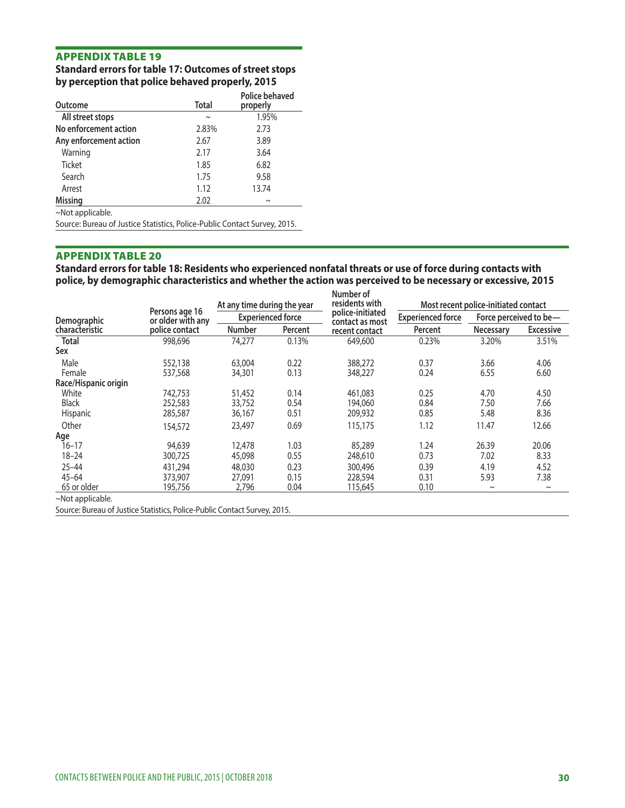### **Standard errors for table 17: Outcomes of street stops by perception that police behaved properly, 2015**

| Outcome                                                                   | <b>Total</b> | Police behaved<br>properly |
|---------------------------------------------------------------------------|--------------|----------------------------|
| All street stops                                                          | $\sim$       | 1.95%                      |
| No enforcement action                                                     | 2.83%        | 2.73                       |
| Any enforcement action                                                    | 2.67         | 3.89                       |
| Warning                                                                   | 2.17         | 3.64                       |
| <b>Ticket</b>                                                             | 1.85         | 6.82                       |
| Search                                                                    | 1.75         | 9.58                       |
| Arrest                                                                    | 1.12         | 13.74                      |
| <b>Missing</b>                                                            | 2.02         | $\sim$                     |
| $\sim$ Not applicable.                                                    |              |                            |
| Source: Bureau of Justice Statistics, Police-Public Contact Survey, 2015. |              |                            |

#### APPENDIX TABLE 20

**Standard errors for table 18: Residents who experienced nonfatal threats or use of force during contacts with police, by demographic characteristics and whether the action was perceived to be necessary or excessive, 2015** 

|                         |                                     | At any time during the year<br><b>Experienced force</b> |         | Number of<br>residents with         | Most recent police-initiated contact |                        |                  |
|-------------------------|-------------------------------------|---------------------------------------------------------|---------|-------------------------------------|--------------------------------------|------------------------|------------------|
| Demographic             | Persons age 16<br>or older with any |                                                         |         | police-initiated<br>contact as most | <b>Experienced force</b>             | Force perceived to be- |                  |
| <b>characteristic</b>   | police contact                      | <b>Number</b>                                           | Percent | recent contact                      | Percent                              | <b>Necessary</b>       | <b>Excessive</b> |
| <b>Total</b>            | 998,696                             | 74,277                                                  | 0.13%   | 649,600                             | 0.23%                                | 3.20%                  | 3.51%            |
| Sex                     |                                     |                                                         |         |                                     |                                      |                        |                  |
| Male                    | 552,138                             | 63,004                                                  | 0.22    | 388,272                             | 0.37                                 | 3.66                   | 4.06             |
| Female                  | 537,568                             | 34,301                                                  | 0.13    | 348,227                             | 0.24                                 | 6.55                   | 6.60             |
| Race/Hispanic origin    |                                     |                                                         |         |                                     |                                      |                        |                  |
| White                   | 742,753                             | 51,452                                                  | 0.14    | 461,083                             | 0.25                                 | 4.70                   | 4.50             |
| <b>Black</b>            | 252,583                             | 33,752                                                  | 0.54    | 194,060                             | 0.84                                 | 7.50                   | 7.66             |
| Hispanic                | 285,587                             | 36,167                                                  | 0.51    | 209,932                             | 0.85                                 | 5.48                   | 8.36             |
| Other                   | 154,572                             | 23,497                                                  | 0.69    | 115,175                             | 1.12                                 | 11.47                  | 12.66            |
| Age                     |                                     |                                                         |         |                                     |                                      |                        |                  |
| $16 - 17$               | 94,639                              | 12,478                                                  | 1.03    | 85,289                              | 1.24                                 | 26.39                  | 20.06            |
| $18 - 24$               | 300,725                             | 45,098                                                  | 0.55    | 248,610                             | 0.73                                 | 7.02                   | 8.33             |
| $25 - 44$               | 431,294                             | 48,030                                                  | 0.23    | 300,496                             | 0.39                                 | 4.19                   | 4.52             |
| $45 - 64$               | 373,907                             | 27,091                                                  | 0.15    | 228,594                             | 0.31                                 | 5.93                   | 7.38             |
| 65 or older             | 195,756                             | 2,796                                                   | 0.04    | 115,645                             | 0.10                                 | $\sim$                 | $\sim$           |
| $~\sim$ Not applicable. |                                     |                                                         |         |                                     |                                      |                        |                  |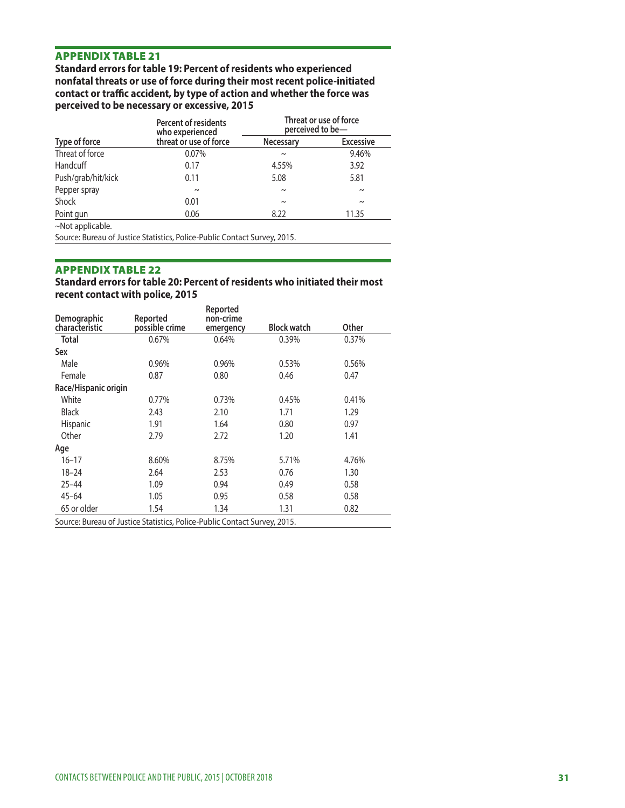**Standard errors for table 19: Percent of residents who experienced nonfatal threats or use of force during their most recent police-initiated**  contact or traffic accident, by type of action and whether the force was **perceived to be necessary or excessive, 2015** 

|                    | <b>Percent of residents</b><br>who experienced | Threat or use of force<br>perceived to be- |                  |  |
|--------------------|------------------------------------------------|--------------------------------------------|------------------|--|
| Type of force      | threat or use of force                         | <b>Necessary</b>                           | <b>Excessive</b> |  |
| Threat of force    | 0.07%                                          | $\sim$                                     | 9.46%            |  |
| Handcuff           | 0.17                                           | 4.55%                                      | 3.92             |  |
| Push/grab/hit/kick | 0.11                                           | 5.08                                       | 5.81             |  |
| Pepper spray       | $\sim$                                         | $\sim$                                     | $\sim$           |  |
| Shock              | 0.01                                           | $\sim$                                     | $\sim$           |  |
| Point gun          | 0.06                                           | 8.22                                       | 11.35            |  |
| ~Not applicable.   |                                                |                                            |                  |  |

Source: Bureau of Justice Statistics, Police-Public Contact Survey, 2015.

#### APPENDIX TABLE 22

#### **Standard errors for table 20: Percent of residents who initiated their most recent contact with police, 2015**

| Demographic                                                               | Reported       | Reported<br>non-crime |                    |       |
|---------------------------------------------------------------------------|----------------|-----------------------|--------------------|-------|
| characteristic                                                            | possible crime | emergency             | <b>Block watch</b> | Other |
| Total                                                                     | 0.67%          | 0.64%                 | 0.39%              | 0.37% |
| Sex                                                                       |                |                       |                    |       |
| Male                                                                      | 0.96%          | 0.96%                 | 0.53%              | 0.56% |
| Female                                                                    | 0.87           | 0.80                  | 0.46               | 0.47  |
| Race/Hispanic origin                                                      |                |                       |                    |       |
| White                                                                     | 0.77%          | 0.73%                 | 0.45%              | 0.41% |
| <b>Black</b>                                                              | 2.43           | 2.10                  | 1.71               | 1.29  |
| Hispanic                                                                  | 1.91           | 1.64                  | 0.80               | 0.97  |
| Other                                                                     | 2.79           | 2.72                  | 1.20               | 1.41  |
| Age                                                                       |                |                       |                    |       |
| $16 - 17$                                                                 | 8.60%          | 8.75%                 | 5.71%              | 4.76% |
| $18 - 24$                                                                 | 2.64           | 2.53                  | 0.76               | 1.30  |
| $25 - 44$                                                                 | 1.09           | 0.94                  | 0.49               | 0.58  |
| $45 - 64$                                                                 | 1.05           | 0.95                  | 0.58               | 0.58  |
| 65 or older                                                               | 1.54           | 1.34                  | 1.31               | 0.82  |
| Source: Bureau of Justice Statistics, Police-Public Contact Survey, 2015. |                |                       |                    |       |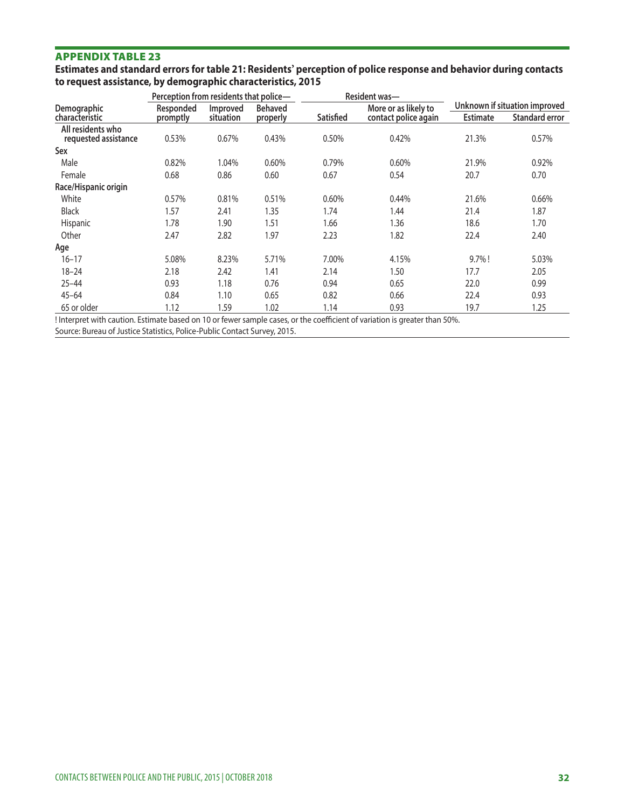|                                                             | Estimates and standard errors for table 21: Residents' perception of police response and behavior during contacts |
|-------------------------------------------------------------|-------------------------------------------------------------------------------------------------------------------|
| to request assistance, by demographic characteristics, 2015 |                                                                                                                   |

|                                           | Perception from residents that police- |                       |                            |           | Resident was-                                |                 |                                                        |
|-------------------------------------------|----------------------------------------|-----------------------|----------------------------|-----------|----------------------------------------------|-----------------|--------------------------------------------------------|
| <b>Demographic</b><br>characteristic      | Responded<br>promptly                  | Improved<br>situation | <b>Behaved</b><br>properly | Satisfied | More or as likely to<br>contact police again | <b>Estimate</b> | Unknown if situation improved<br><b>Standard error</b> |
| All residents who<br>requested assistance | 0.53%                                  | 0.67%                 | 0.43%                      | 0.50%     | 0.42%                                        | 21.3%           | 0.57%                                                  |
| Sex                                       |                                        |                       |                            |           |                                              |                 |                                                        |
| Male                                      | 0.82%                                  | 1.04%                 | 0.60%                      | 0.79%     | 0.60%                                        | 21.9%           | 0.92%                                                  |
| Female                                    | 0.68                                   | 0.86                  | 0.60                       | 0.67      | 0.54                                         | 20.7            | 0.70                                                   |
| Race/Hispanic origin                      |                                        |                       |                            |           |                                              |                 |                                                        |
| White                                     | 0.57%                                  | 0.81%                 | 0.51%                      | 0.60%     | 0.44%                                        | 21.6%           | 0.66%                                                  |
| <b>Black</b>                              | 1.57                                   | 2.41                  | 1.35                       | 1.74      | 1.44                                         | 21.4            | 1.87                                                   |
| Hispanic                                  | 1.78                                   | 1.90                  | 1.51                       | 1.66      | 1.36                                         | 18.6            | 1.70                                                   |
| Other                                     | 2.47                                   | 2.82                  | 1.97                       | 2.23      | 1.82                                         | 22.4            | 2.40                                                   |
| Age                                       |                                        |                       |                            |           |                                              |                 |                                                        |
| $16 - 17$                                 | 5.08%                                  | 8.23%                 | 5.71%                      | 7.00%     | 4.15%                                        | $9.7\%$ !       | 5.03%                                                  |
| $18 - 24$                                 | 2.18                                   | 2.42                  | 1.41                       | 2.14      | 1.50                                         | 17.7            | 2.05                                                   |
| $25 - 44$                                 | 0.93                                   | 1.18                  | 0.76                       | 0.94      | 0.65                                         | 22.0            | 0.99                                                   |
| $45 - 64$                                 | 0.84                                   | 1.10                  | 0.65                       | 0.82      | 0.66                                         | 22.4            | 0.93                                                   |
| 65 or older                               | 1.12                                   | 1.59                  | 1.02                       | 1.14      | 0.93                                         | 19.7            | 1.25                                                   |

! Interpret with caution. Estimate based on 10 or fewer sample cases, or the coefficient of variation is greater than 50%. Source: Bureau of Justice Statistics, Police-Public Contact Survey, 2015.